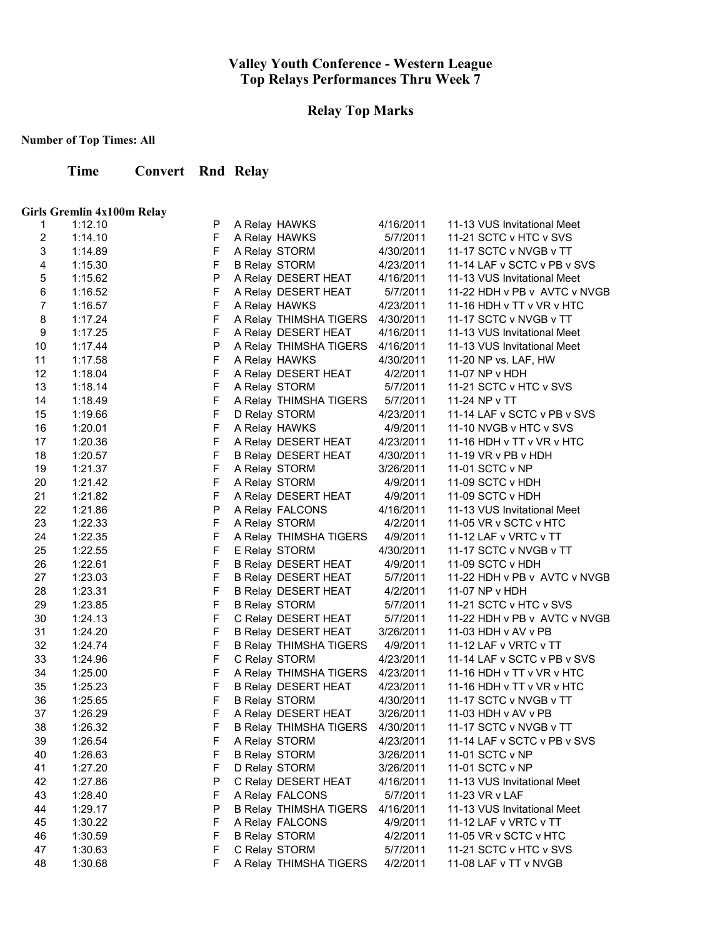### **Relay Top Marks**

**Number of Top Times: All**

**Time Convert Rnd Relay**

#### **Girls Gremlin 4x100m Relay**

| 1           | 1:12.10 | P           | A Relay HAWKS                 | 4/16/2011 | 11-13 VUS Invitational Meet  |
|-------------|---------|-------------|-------------------------------|-----------|------------------------------|
| $\mathbf 2$ | 1:14.10 | F           | A Relay HAWKS                 | 5/7/2011  | 11-21 SCTC v HTC v SVS       |
| 3           | 1:14.89 | $\mathsf F$ | A Relay STORM                 | 4/30/2011 | 11-17 SCTC v NVGB v TT       |
| 4           | 1:15.30 | $\mathsf F$ | <b>B Relay STORM</b>          | 4/23/2011 | 11-14 LAF v SCTC v PB v SVS  |
| 5           | 1:15.62 | P           | A Relay DESERT HEAT           | 4/16/2011 | 11-13 VUS Invitational Meet  |
| 6           | 1:16.52 | F           | A Relay DESERT HEAT           | 5/7/2011  | 11-22 HDH v PB v AVTC v NVGB |
| 7           | 1:16.57 | $\mathsf F$ | A Relay HAWKS                 | 4/23/2011 | 11-16 HDH v TT v VR v HTC    |
| 8           | 1:17.24 | $\mathsf F$ | A Relay THIMSHA TIGERS        | 4/30/2011 | 11-17 SCTC v NVGB v TT       |
| 9           | 1:17.25 | $\mathsf F$ | A Relay DESERT HEAT           | 4/16/2011 | 11-13 VUS Invitational Meet  |
| 10          | 1:17.44 | P           | A Relay THIMSHA TIGERS        | 4/16/2011 | 11-13 VUS Invitational Meet  |
| 11          | 1:17.58 | $\mathsf F$ | A Relay HAWKS                 | 4/30/2011 | 11-20 NP vs. LAF, HW         |
| 12          | 1:18.04 | $\mathsf F$ | A Relay DESERT HEAT           | 4/2/2011  | 11-07 NP v HDH               |
| 13          | 1:18.14 | $\mathsf F$ | A Relay STORM                 | 5/7/2011  | 11-21 SCTC v HTC v SVS       |
| 14          | 1:18.49 | $\mathsf F$ | A Relay THIMSHA TIGERS        | 5/7/2011  | 11-24 NP v TT                |
| 15          | 1:19.66 | $\mathsf F$ | D Relay STORM                 | 4/23/2011 | 11-14 LAF v SCTC v PB v SVS  |
| 16          | 1:20.01 | F           | A Relay HAWKS                 | 4/9/2011  | 11-10 NVGB v HTC v SVS       |
| 17          | 1:20.36 | $\mathsf F$ | A Relay DESERT HEAT           | 4/23/2011 | 11-16 HDH v TT v VR v HTC    |
| 18          | 1:20.57 | F           | <b>B Relay DESERT HEAT</b>    | 4/30/2011 | 11-19 VR v PB v HDH          |
| 19          | 1:21.37 | F           | A Relay STORM                 | 3/26/2011 | 11-01 SCTC v NP              |
| 20          | 1:21.42 | $\mathsf F$ | A Relay STORM                 | 4/9/2011  | 11-09 SCTC v HDH             |
| 21          | 1:21.82 | $\mathsf F$ | A Relay DESERT HEAT           | 4/9/2011  | 11-09 SCTC v HDH             |
| 22          | 1:21.86 | ${\sf P}$   | A Relay FALCONS               | 4/16/2011 | 11-13 VUS Invitational Meet  |
| 23          | 1:22.33 | $\mathsf F$ | A Relay STORM                 | 4/2/2011  | 11-05 VR v SCTC v HTC        |
| 24          | 1:22.35 | $\mathsf F$ | A Relay THIMSHA TIGERS        | 4/9/2011  | 11-12 LAF v VRTC v TT        |
| 25          | 1:22.55 | $\mathsf F$ | E Relay STORM                 | 4/30/2011 | 11-17 SCTC v NVGB v TT       |
| 26          | 1:22.61 | $\mathsf F$ | <b>B Relay DESERT HEAT</b>    | 4/9/2011  | 11-09 SCTC v HDH             |
| 27          | 1:23.03 | $\mathsf F$ | <b>B Relay DESERT HEAT</b>    | 5/7/2011  | 11-22 HDH v PB v AVTC v NVGB |
| 28          | 1:23.31 | $\mathsf F$ | <b>B Relay DESERT HEAT</b>    | 4/2/2011  | 11-07 NP v HDH               |
| 29          | 1:23.85 | $\mathsf F$ | <b>B Relay STORM</b>          | 5/7/2011  | 11-21 SCTC v HTC v SVS       |
| 30          | 1:24.13 | $\mathsf F$ | C Relay DESERT HEAT           | 5/7/2011  | 11-22 HDH v PB v AVTC v NVGB |
| 31          | 1:24.20 | $\mathsf F$ | <b>B Relay DESERT HEAT</b>    | 3/26/2011 | 11-03 HDH v AV v PB          |
| 32          | 1:24.74 | $\mathsf F$ | B Relay THIMSHA TIGERS        | 4/9/2011  | 11-12 LAF v VRTC v TT        |
| 33          | 1:24.96 | $\mathsf F$ | C Relay STORM                 | 4/23/2011 | 11-14 LAF v SCTC v PB v SVS  |
| 34          | 1:25.00 | $\mathsf F$ | A Relay THIMSHA TIGERS        | 4/23/2011 | 11-16 HDH v TT v VR v HTC    |
| 35          | 1:25.23 | $\mathsf F$ | <b>B Relay DESERT HEAT</b>    | 4/23/2011 | 11-16 HDH v TT v VR v HTC    |
| 36          | 1:25.65 | $\mathsf F$ | <b>B Relay STORM</b>          | 4/30/2011 | 11-17 SCTC v NVGB v TT       |
| 37          | 1:26.29 | $\mathsf F$ | A Relay DESERT HEAT           | 3/26/2011 | 11-03 HDH v AV v PB          |
| 38          | 1:26.32 | $\mathsf F$ | <b>B Relay THIMSHA TIGERS</b> | 4/30/2011 | 11-17 SCTC v NVGB v TT       |
| 39          | 1:26.54 | F           | A Relay STORM                 | 4/23/2011 | 11-14 LAF v SCTC v PB v SVS  |
| 40          | 1:26.63 | F           | <b>B Relay STORM</b>          | 3/26/2011 | 11-01 SCTC v NP              |
| 41          | 1:27.20 | F           | D Relay STORM                 | 3/26/2011 | 11-01 SCTC v NP              |
| 42          | 1:27.86 | P           | C Relay DESERT HEAT           | 4/16/2011 | 11-13 VUS Invitational Meet  |
| 43          | 1:28.40 | F           | A Relay FALCONS               | 5/7/2011  | 11-23 VR v LAF               |
| 44          | 1:29.17 | P           | <b>B Relay THIMSHA TIGERS</b> | 4/16/2011 | 11-13 VUS Invitational Meet  |
| 45          | 1:30.22 | F           | A Relay FALCONS               | 4/9/2011  | 11-12 LAF v VRTC v TT        |
| 46          | 1:30.59 | $\mathsf F$ | <b>B Relay STORM</b>          | 4/2/2011  | 11-05 VR v SCTC v HTC        |
| 47          | 1:30.63 | $\mathsf F$ | C Relay STORM                 | 5/7/2011  | 11-21 SCTC v HTC v SVS       |
| 48          | 1:30.68 | F           | A Relay THIMSHA TIGERS        | 4/2/2011  | 11-08 LAF v TT v NVGB        |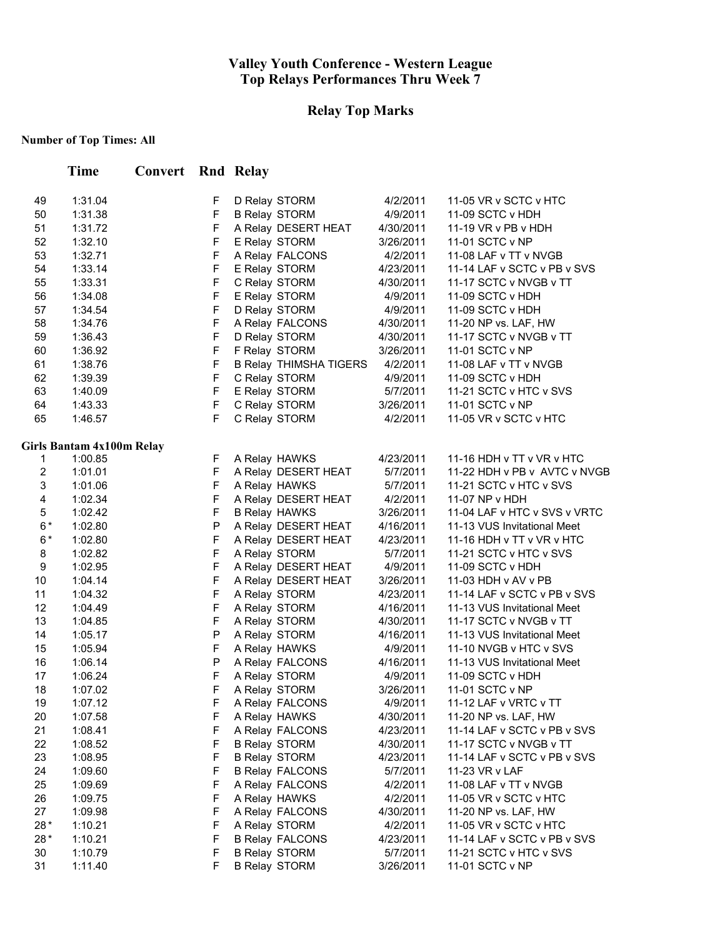# **Relay Top Marks**

|                | <b>Time</b>               | <b>Convert</b> Rnd Relay |                  |                                              |           |                                                       |
|----------------|---------------------------|--------------------------|------------------|----------------------------------------------|-----------|-------------------------------------------------------|
| 49             | 1:31.04                   |                          | F                | D Relay STORM                                | 4/2/2011  | 11-05 VR v SCTC v HTC                                 |
| 50             | 1:31.38                   |                          | F                | <b>B Relay STORM</b>                         | 4/9/2011  | 11-09 SCTC v HDH                                      |
| 51             | 1:31.72                   |                          | F                | A Relay DESERT HEAT                          | 4/30/2011 | 11-19 VR v PB v HDH                                   |
| 52             | 1:32.10                   |                          | $\mathsf F$      | E Relay STORM                                | 3/26/2011 | 11-01 SCTC v NP                                       |
| 53             | 1:32.71                   |                          | $\mathsf F$      | A Relay FALCONS                              | 4/2/2011  | 11-08 LAF v TT v NVGB                                 |
| 54             | 1:33.14                   |                          | $\mathsf F$      | E Relay STORM                                | 4/23/2011 | 11-14 LAF v SCTC v PB v SVS                           |
| 55             | 1:33.31                   |                          | $\mathsf F$      | C Relay STORM                                | 4/30/2011 | 11-17 SCTC v NVGB v TT                                |
| 56             | 1:34.08                   |                          | F                | E Relay STORM                                | 4/9/2011  | 11-09 SCTC v HDH                                      |
| 57             | 1:34.54                   |                          | F                | D Relay STORM                                | 4/9/2011  | 11-09 SCTC v HDH                                      |
| 58             | 1:34.76                   |                          | $\mathsf F$      | A Relay FALCONS                              | 4/30/2011 | 11-20 NP vs. LAF, HW                                  |
| 59             | 1:36.43                   |                          | $\mathsf F$      | D Relay STORM                                | 4/30/2011 | 11-17 SCTC v NVGB v TT                                |
| 60             | 1:36.92                   |                          | $\mathsf F$      | F Relay STORM                                | 3/26/2011 | 11-01 SCTC v NP                                       |
| 61             | 1:38.76                   |                          | $\mathsf F$      | <b>B Relay THIMSHA TIGERS</b>                | 4/2/2011  | 11-08 LAF v TT v NVGB                                 |
| 62             | 1:39.39                   |                          | F                | C Relay STORM                                | 4/9/2011  | 11-09 SCTC v HDH                                      |
| 63             | 1:40.09                   |                          | F                | E Relay STORM                                | 5/7/2011  | 11-21 SCTC v HTC v SVS                                |
| 64             | 1:43.33                   |                          | $\mathsf F$      | C Relay STORM                                | 3/26/2011 | 11-01 SCTC v NP                                       |
| 65             | 1:46.57                   |                          | F                | C Relay STORM                                | 4/2/2011  | 11-05 VR v SCTC v HTC                                 |
|                | Girls Bantam 4x100m Relay |                          |                  |                                              |           |                                                       |
| $\mathbf{1}$   | 1:00.85                   |                          | F                | A Relay HAWKS                                | 4/23/2011 | 11-16 HDH v TT v VR v HTC                             |
| $\overline{c}$ | 1:01.01                   |                          | $\mathsf F$      | A Relay DESERT HEAT                          | 5/7/2011  | 11-22 HDH v PB v AVTC v NVGB                          |
| 3              | 1:01.06                   |                          | F                | A Relay HAWKS                                | 5/7/2011  | 11-21 SCTC v HTC v SVS                                |
| 4              | 1:02.34                   |                          | $\mathsf F$      | A Relay DESERT HEAT                          | 4/2/2011  | 11-07 NP v HDH                                        |
| 5              | 1:02.42                   |                          | $\mathsf F$      | <b>B Relay HAWKS</b>                         | 3/26/2011 | 11-04 LAF v HTC v SVS v VRTC                          |
| $6*$           | 1:02.80                   |                          | P                | A Relay DESERT HEAT                          | 4/16/2011 | 11-13 VUS Invitational Meet                           |
| $6*$           | 1:02.80                   |                          | $\mathsf F$      | A Relay DESERT HEAT                          | 4/23/2011 | 11-16 HDH v TT v VR v HTC                             |
| 8              | 1:02.82                   |                          | $\mathsf F$      | A Relay STORM                                | 5/7/2011  | 11-21 SCTC v HTC v SVS                                |
| 9              | 1:02.95                   |                          | $\mathsf F$      | A Relay DESERT HEAT                          | 4/9/2011  | 11-09 SCTC v HDH                                      |
| 10             | 1:04.14                   |                          | $\mathsf F$      | A Relay DESERT HEAT                          | 3/26/2011 | 11-03 HDH v AV v PB                                   |
| 11             | 1:04.32                   |                          | F                | A Relay STORM                                | 4/23/2011 | 11-14 LAF v SCTC v PB v SVS                           |
| 12             | 1:04.49                   |                          | F                | A Relay STORM                                | 4/16/2011 | 11-13 VUS Invitational Meet                           |
| 13             | 1:04.85                   |                          | $\mathsf F$      | A Relay STORM                                | 4/30/2011 | 11-17 SCTC v NVGB v TT                                |
| 14             | 1:05.17                   |                          | P                | A Relay STORM                                | 4/16/2011 | 11-13 VUS Invitational Meet                           |
| 15             | 1:05.94                   |                          | F                | A Relay HAWKS                                | 4/9/2011  | 11-10 NVGB v HTC v SVS                                |
| 16             | 1:06.14                   |                          | $\mathsf{P}$     | A Relay FALCONS                              | 4/16/2011 | 11-13 VUS Invitational Meet                           |
| 17             | 1:06.24                   |                          | F                | A Relay STORM                                | 4/9/2011  | 11-09 SCTC v HDH                                      |
| 18             | 1:07.02                   |                          | $\mathsf F$      | A Relay STORM                                | 3/26/2011 | 11-01 SCTC v NP                                       |
| 19             | 1:07.12                   |                          | F                | A Relay FALCONS                              | 4/9/2011  | 11-12 LAF v VRTC v TT                                 |
| 20             | 1:07.58                   |                          | $\mathsf F$      | A Relay HAWKS                                | 4/30/2011 | 11-20 NP vs. LAF, HW                                  |
| 21             | 1:08.41                   |                          | F                | A Relay FALCONS                              | 4/23/2011 | 11-14 LAF v SCTC v PB v SVS                           |
| 22             | 1:08.52                   |                          | F                | <b>B Relay STORM</b>                         | 4/30/2011 | 11-17 SCTC v NVGB v TT                                |
| 23             | 1:08.95                   |                          | F                | <b>B Relay STORM</b>                         | 4/23/2011 | 11-14 LAF v SCTC v PB v SVS                           |
| 24             | 1:09.60                   |                          | F                | <b>B Relay FALCONS</b>                       | 5/7/2011  | 11-23 VR v LAF                                        |
| 25             | 1:09.69                   |                          | F                | A Relay FALCONS                              | 4/2/2011  | 11-08 LAF v TT v NVGB                                 |
| 26             | 1:09.75                   |                          | F                | A Relay HAWKS                                | 4/2/2011  | 11-05 VR v SCTC v HTC                                 |
| 27             | 1:09.98                   |                          | F                | A Relay FALCONS                              | 4/30/2011 | 11-20 NP vs. LAF, HW                                  |
| 28 *           | 1:10.21                   |                          | F                | A Relay STORM                                | 4/2/2011  | 11-05 VR v SCTC v HTC                                 |
| 28*<br>30      | 1:10.21                   |                          | F<br>$\mathsf F$ | <b>B Relay FALCONS</b>                       | 4/23/2011 | 11-14 LAF v SCTC v PB v SVS<br>11-21 SCTC v HTC v SVS |
| 31             | 1:10.79                   |                          | F                | <b>B Relay STORM</b><br><b>B Relay STORM</b> | 5/7/2011  | 11-01 SCTC v NP                                       |
|                | 1:11.40                   |                          |                  |                                              | 3/26/2011 |                                                       |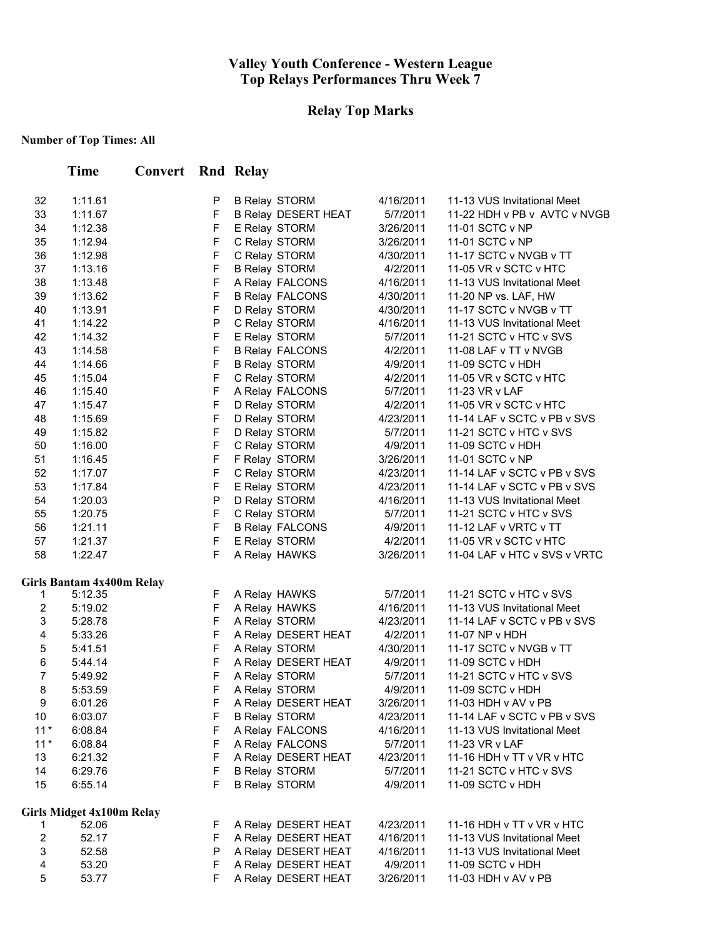# **Relay Top Marks**

|                         | <b>Time</b>                      | <b>Convert</b> Rnd Relay |                  |                            |           |                              |
|-------------------------|----------------------------------|--------------------------|------------------|----------------------------|-----------|------------------------------|
| 32                      | 1:11.61                          |                          | P                | <b>B Relay STORM</b>       | 4/16/2011 | 11-13 VUS Invitational Meet  |
| 33                      | 1:11.67                          |                          | F                | <b>B Relay DESERT HEAT</b> | 5/7/2011  | 11-22 HDH v PB v AVTC v NVGB |
| 34                      | 1:12.38                          |                          | F                | E Relay STORM              | 3/26/2011 | 11-01 SCTC v NP              |
| 35                      | 1:12.94                          |                          | F                | C Relay STORM              | 3/26/2011 | 11-01 SCTC v NP              |
| 36                      | 1:12.98                          |                          | $\mathsf F$      | C Relay STORM              | 4/30/2011 | 11-17 SCTC v NVGB v TT       |
| 37                      | 1:13.16                          |                          | $\mathsf F$      | <b>B Relay STORM</b>       | 4/2/2011  | 11-05 VR v SCTC v HTC        |
| 38                      | 1:13.48                          |                          | $\mathsf F$      | A Relay FALCONS            | 4/16/2011 | 11-13 VUS Invitational Meet  |
| 39                      | 1:13.62                          |                          | $\mathsf F$      | <b>B Relay FALCONS</b>     | 4/30/2011 | 11-20 NP vs. LAF, HW         |
| 40                      | 1:13.91                          |                          | $\mathsf F$      | D Relay STORM              | 4/30/2011 | 11-17 SCTC v NVGB v TT       |
| 41                      | 1:14.22                          |                          | $\mathsf{P}$     | C Relay STORM              | 4/16/2011 | 11-13 VUS Invitational Meet  |
| 42                      | 1:14.32                          |                          | $\mathsf F$      | E Relay STORM              | 5/7/2011  | 11-21 SCTC v HTC v SVS       |
| 43                      | 1:14.58                          |                          | $\mathsf F$      | <b>B Relay FALCONS</b>     | 4/2/2011  | 11-08 LAF v TT v NVGB        |
| 44                      | 1:14.66                          |                          | $\mathsf F$      | <b>B Relay STORM</b>       | 4/9/2011  | 11-09 SCTC v HDH             |
| 45                      | 1:15.04                          |                          | $\mathsf F$      | C Relay STORM              | 4/2/2011  | 11-05 VR v SCTC v HTC        |
| 46                      | 1:15.40                          |                          | F                | A Relay FALCONS            | 5/7/2011  | 11-23 VR v LAF               |
| 47                      | 1:15.47                          |                          | F                | D Relay STORM              | 4/2/2011  | 11-05 VR v SCTC v HTC        |
| 48                      | 1:15.69                          |                          | $\mathsf F$      | D Relay STORM              | 4/23/2011 | 11-14 LAF v SCTC v PB v SVS  |
| 49                      | 1:15.82                          |                          | F                | D Relay STORM              | 5/7/2011  | 11-21 SCTC v HTC v SVS       |
| 50                      | 1:16.00                          |                          | F                | C Relay STORM              | 4/9/2011  | 11-09 SCTC v HDH             |
| 51                      | 1:16.45                          |                          | $\mathsf F$      | F Relay STORM              | 3/26/2011 | 11-01 SCTC v NP              |
| 52                      | 1:17.07                          |                          | $\mathsf F$      | C Relay STORM              | 4/23/2011 | 11-14 LAF v SCTC v PB v SVS  |
| 53                      | 1:17.84                          |                          | $\mathsf F$      | E Relay STORM              | 4/23/2011 | 11-14 LAF v SCTC v PB v SVS  |
| 54                      | 1:20.03                          |                          | ${\sf P}$        | D Relay STORM              | 4/16/2011 | 11-13 VUS Invitational Meet  |
| 55                      | 1:20.75                          |                          | $\mathsf F$      | C Relay STORM              | 5/7/2011  | 11-21 SCTC v HTC v SVS       |
| 56                      | 1:21.11                          |                          | $\mathsf F$      | <b>B Relay FALCONS</b>     | 4/9/2011  | 11-12 LAF v VRTC v TT        |
| 57                      | 1:21.37                          |                          | $\mathsf F$<br>F | E Relay STORM              | 4/2/2011  | 11-05 VR v SCTC v HTC        |
| 58                      | 1:22.47                          |                          |                  | A Relay HAWKS              | 3/26/2011 | 11-04 LAF v HTC v SVS v VRTC |
|                         | Girls Bantam 4x400m Relay        |                          |                  |                            |           |                              |
| 1                       | 5:12.35                          |                          | F                | A Relay HAWKS              | 5/7/2011  | 11-21 SCTC v HTC v SVS       |
| 2                       | 5:19.02                          |                          | F                | A Relay HAWKS              | 4/16/2011 | 11-13 VUS Invitational Meet  |
| 3                       | 5:28.78                          |                          | $\mathsf F$      | A Relay STORM              | 4/23/2011 | 11-14 LAF v SCTC v PB v SVS  |
| $\overline{\mathbf{4}}$ | 5:33.26                          |                          | $\mathsf F$      | A Relay DESERT HEAT        | 4/2/2011  | 11-07 NP v HDH               |
| 5                       | 5:41.51                          |                          | $\mathsf F$      | A Relay STORM              | 4/30/2011 | 11-17 SCTC v NVGB v TT       |
| 6                       | 5:44.14                          |                          | $\mathsf F$      | A Relay DESERT HEAT        | 4/9/2011  | 11-09 SCTC v HDH             |
| $\overline{7}$          | 5:49.92                          |                          | F                | A Relay STORM              | 5/7/2011  | 11-21 SCTC v HTC v SVS       |
| 8                       | 5:53.59                          |                          | F.               | A Relay STORM              | 4/9/2011  | 11-09 SCTC v HDH             |
| 9                       | 6:01.26                          |                          | F                | A Relay DESERT HEAT        | 3/26/2011 | 11-03 HDH v AV v PB          |
| 10                      | 6:03.07                          |                          | F                | <b>B Relay STORM</b>       | 4/23/2011 | 11-14 LAF v SCTC v PB v SVS  |
| $11*$                   | 6:08.84                          |                          | F                | A Relay FALCONS            | 4/16/2011 | 11-13 VUS Invitational Meet  |
| $11*$                   | 6:08.84                          |                          | F                | A Relay FALCONS            | 5/7/2011  | 11-23 VR v LAF               |
| 13                      | 6:21.32                          |                          | F                | A Relay DESERT HEAT        | 4/23/2011 | 11-16 HDH v TT v VR v HTC    |
| 14                      | 6:29.76                          |                          | F                | <b>B Relay STORM</b>       | 5/7/2011  | 11-21 SCTC v HTC v SVS       |
| 15                      | 6:55.14                          |                          | F                | <b>B Relay STORM</b>       | 4/9/2011  | 11-09 SCTC v HDH             |
|                         | <b>Girls Midget 4x100m Relay</b> |                          |                  |                            |           |                              |
| 1                       | 52.06                            |                          | F                | A Relay DESERT HEAT        | 4/23/2011 | 11-16 HDH v TT v VR v HTC    |
| $\boldsymbol{2}$        | 52.17                            |                          | F                | A Relay DESERT HEAT        | 4/16/2011 | 11-13 VUS Invitational Meet  |
| 3                       | 52.58                            |                          | P                | A Relay DESERT HEAT        | 4/16/2011 | 11-13 VUS Invitational Meet  |
| 4                       | 53.20                            |                          | F                | A Relay DESERT HEAT        | 4/9/2011  | 11-09 SCTC v HDH             |
| 5                       | 53.77                            |                          | F                | A Relay DESERT HEAT        | 3/26/2011 | 11-03 HDH v AV v PB          |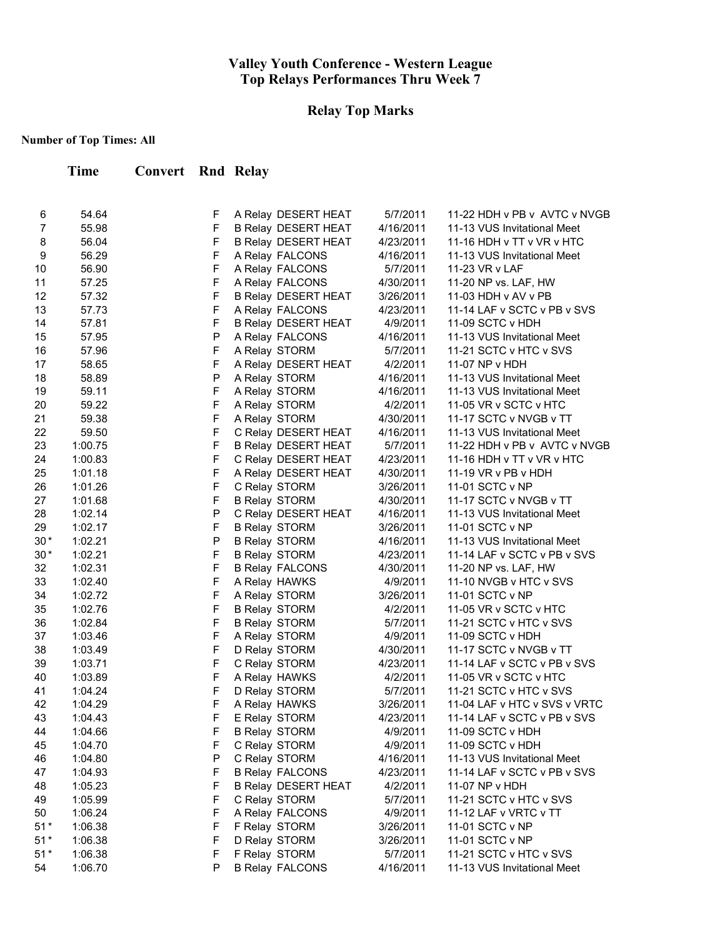# **Relay Top Marks**

| Time | <b>Convert Rnd Relay</b> |  |
|------|--------------------------|--|
|      |                          |  |

| 6                | 54.64   | F            | A Relay DESERT HEAT        | 5/7/2011  | 11-22 HDH v PB v AVTC v NVGB |
|------------------|---------|--------------|----------------------------|-----------|------------------------------|
| $\overline{7}$   | 55.98   | F            | <b>B Relay DESERT HEAT</b> | 4/16/2011 | 11-13 VUS Invitational Meet  |
| 8                | 56.04   | F            | B Relay DESERT HEAT        | 4/23/2011 | 11-16 HDH v TT v VR v HTC    |
| $\boldsymbol{9}$ | 56.29   | $\mathsf F$  | A Relay FALCONS            | 4/16/2011 | 11-13 VUS Invitational Meet  |
| 10               | 56.90   | $\mathsf F$  | A Relay FALCONS            | 5/7/2011  | 11-23 VR v LAF               |
| 11               | 57.25   | $\mathsf F$  | A Relay FALCONS            | 4/30/2011 | 11-20 NP vs. LAF, HW         |
| 12               | 57.32   | $\mathsf F$  | B Relay DESERT HEAT        | 3/26/2011 | 11-03 HDH v AV v PB          |
| 13               | 57.73   | F            | A Relay FALCONS            | 4/23/2011 | 11-14 LAF v SCTC v PB v SVS  |
| 14               | 57.81   | F            | <b>B Relay DESERT HEAT</b> | 4/9/2011  | 11-09 SCTC v HDH             |
| 15               | 57.95   | P            | A Relay FALCONS            | 4/16/2011 | 11-13 VUS Invitational Meet  |
| 16               | 57.96   | F            | A Relay STORM              | 5/7/2011  | 11-21 SCTC v HTC v SVS       |
| 17               | 58.65   | $\mathsf F$  | A Relay DESERT HEAT        | 4/2/2011  | 11-07 NP v HDH               |
| 18               | 58.89   | P            | A Relay STORM              | 4/16/2011 | 11-13 VUS Invitational Meet  |
| 19               | 59.11   | F            | A Relay STORM              | 4/16/2011 | 11-13 VUS Invitational Meet  |
| 20               | 59.22   | F            | A Relay STORM              | 4/2/2011  | 11-05 VR v SCTC v HTC        |
| 21               | 59.38   | $\mathsf F$  | A Relay STORM              | 4/30/2011 | 11-17 SCTC v NVGB v TT       |
| 22               | 59.50   | $\mathsf F$  | C Relay DESERT HEAT        | 4/16/2011 | 11-13 VUS Invitational Meet  |
| 23               | 1:00.75 | $\mathsf F$  | B Relay DESERT HEAT        | 5/7/2011  | 11-22 HDH v PB v AVTC v NVGB |
| 24               | 1:00.83 | $\mathsf F$  | C Relay DESERT HEAT        | 4/23/2011 | 11-16 HDH v TT v VR v HTC    |
| 25               | 1:01.18 | F            | A Relay DESERT HEAT        | 4/30/2011 | 11-19 VR v PB v HDH          |
| 26               | 1:01.26 | F            | C Relay STORM              | 3/26/2011 | 11-01 SCTC v NP              |
| 27               | 1:01.68 | $\mathsf F$  | <b>B Relay STORM</b>       | 4/30/2011 | 11-17 SCTC v NVGB v TT       |
| 28               | 1:02.14 | P            | C Relay DESERT HEAT        | 4/16/2011 | 11-13 VUS Invitational Meet  |
| 29               | 1:02.17 | $\mathsf F$  | <b>B Relay STORM</b>       | 3/26/2011 | 11-01 SCTC v NP              |
| $30*$            | 1:02.21 | $\mathsf{P}$ | <b>B Relay STORM</b>       | 4/16/2011 | 11-13 VUS Invitational Meet  |
| $30*$            | 1:02.21 | $\mathsf F$  | <b>B Relay STORM</b>       | 4/23/2011 | 11-14 LAF v SCTC v PB v SVS  |
| 32               | 1:02.31 | $\mathsf F$  | <b>B Relay FALCONS</b>     | 4/30/2011 | 11-20 NP vs. LAF, HW         |
| 33               | 1:02.40 | $\mathsf F$  | A Relay HAWKS              | 4/9/2011  | 11-10 NVGB v HTC v SVS       |
| 34               | 1:02.72 | $\mathsf F$  | A Relay STORM              | 3/26/2011 | 11-01 SCTC v NP              |
| 35               | 1:02.76 | $\mathsf F$  | <b>B Relay STORM</b>       | 4/2/2011  | 11-05 VR v SCTC v HTC        |
| 36               | 1:02.84 | $\mathsf F$  | <b>B Relay STORM</b>       | 5/7/2011  | 11-21 SCTC v HTC v SVS       |
| 37               | 1:03.46 | F            | A Relay STORM              | 4/9/2011  | 11-09 SCTC v HDH             |
| 38               | 1:03.49 | $\mathsf F$  | D Relay STORM              | 4/30/2011 | 11-17 SCTC v NVGB v TT       |
| 39               | 1:03.71 | $\mathsf F$  | C Relay STORM              | 4/23/2011 | 11-14 LAF v SCTC v PB v SVS  |
| 40               | 1:03.89 | $\mathsf F$  | A Relay HAWKS              | 4/2/2011  | 11-05 VR v SCTC v HTC        |
| 41               | 1:04.24 | $\mathsf F$  | D Relay STORM              | 5/7/2011  | 11-21 SCTC v HTC v SVS       |
| 42               | 1:04.29 | $\mathsf F$  | A Relay HAWKS              | 3/26/2011 | 11-04 LAF v HTC v SVS v VRTC |
| 43               | 1:04.43 | F            | E Relay STORM              | 4/23/2011 | 11-14 LAF v SCTC v PB v SVS  |
| 44               | 1:04.66 | E            | <b>B Relay STORM</b>       | 4/9/2011  | 11-09 SCTC v HDH             |
| 45               | 1:04.70 | F            | C Relay STORM              | 4/9/2011  | 11-09 SCTC v HDH             |
| 46               | 1:04.80 | P            | C Relay STORM              | 4/16/2011 | 11-13 VUS Invitational Meet  |
| 47               | 1:04.93 | $\mathsf F$  | <b>B Relay FALCONS</b>     | 4/23/2011 | 11-14 LAF v SCTC v PB v SVS  |
| 48               | 1:05.23 | F            | <b>B Relay DESERT HEAT</b> | 4/2/2011  | 11-07 NP v HDH               |
| 49               | 1:05.99 | F            | C Relay STORM              | 5/7/2011  | 11-21 SCTC v HTC v SVS       |
| 50               | 1:06.24 | F            | A Relay FALCONS            | 4/9/2011  | 11-12 LAF v VRTC v TT        |
| $51*$            | 1:06.38 | F            | F Relay STORM              | 3/26/2011 | 11-01 SCTC v NP              |
| $51*$            | 1:06.38 | F            | D Relay STORM              | 3/26/2011 | 11-01 SCTC v NP              |
| $51*$            | 1:06.38 | F            | F Relay STORM              | 5/7/2011  | 11-21 SCTC v HTC v SVS       |
| 54               | 1:06.70 | P            | <b>B Relay FALCONS</b>     | 4/16/2011 | 11-13 VUS Invitational Meet  |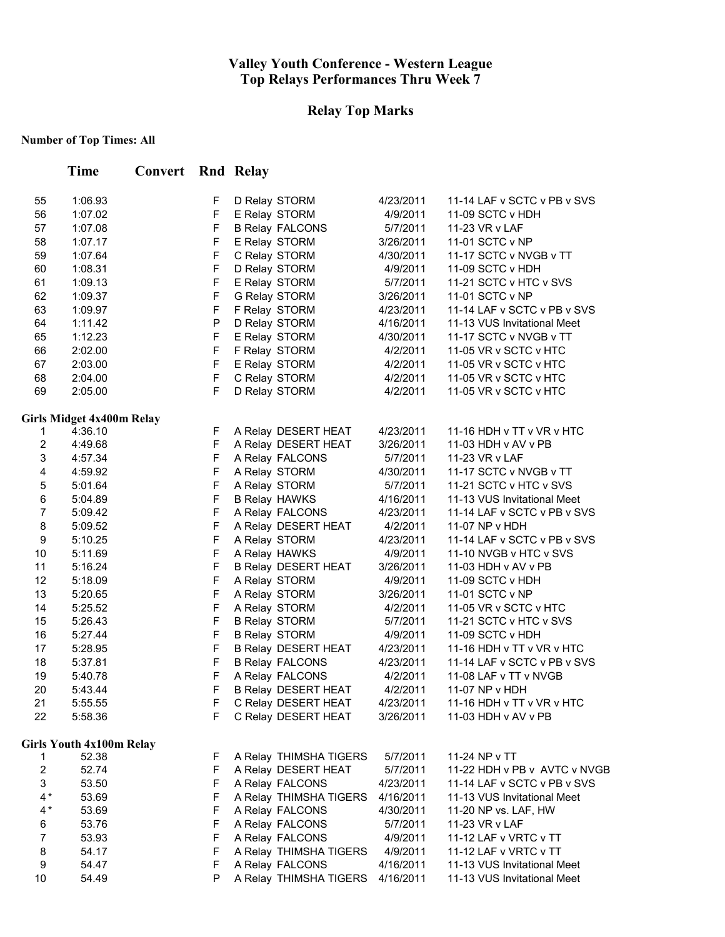# **Relay Top Marks**

|                         | <b>Time</b>                      | <b>Convert</b> Rnd Relay |        |                                       |                       |                                                       |
|-------------------------|----------------------------------|--------------------------|--------|---------------------------------------|-----------------------|-------------------------------------------------------|
| 55                      | 1:06.93                          |                          | F      | D Relay STORM                         | 4/23/2011             | 11-14 LAF v SCTC v PB v SVS                           |
| 56                      | 1:07.02                          |                          | F      | E Relay STORM                         | 4/9/2011              | 11-09 SCTC v HDH                                      |
| 57                      | 1:07.08                          |                          | F      | <b>B Relay FALCONS</b>                | 5/7/2011              | 11-23 VR v LAF                                        |
| 58                      | 1:07.17                          |                          | F      | E Relay STORM                         | 3/26/2011             | 11-01 SCTC v NP                                       |
| 59                      | 1:07.64                          |                          | F      | C Relay STORM                         | 4/30/2011             | 11-17 SCTC v NVGB v TT                                |
| 60                      | 1:08.31                          |                          | F      | D Relay STORM                         | 4/9/2011              | 11-09 SCTC v HDH                                      |
| 61                      | 1:09.13                          |                          | F      | E Relay STORM                         | 5/7/2011              | 11-21 SCTC v HTC v SVS                                |
| 62                      | 1:09.37                          |                          | F      | G Relay STORM                         | 3/26/2011             | 11-01 SCTC v NP                                       |
| 63                      | 1:09.97                          |                          | F      | F Relay STORM                         | 4/23/2011             | 11-14 LAF v SCTC v PB v SVS                           |
| 64                      | 1:11.42                          |                          | P      | D Relay STORM                         | 4/16/2011             | 11-13 VUS Invitational Meet                           |
| 65                      | 1:12.23                          |                          | F      | E Relay STORM                         | 4/30/2011             | 11-17 SCTC v NVGB v TT                                |
| 66                      | 2:02.00                          |                          | F      | F Relay STORM                         | 4/2/2011              | 11-05 VR v SCTC v HTC                                 |
| 67                      | 2:03.00                          |                          | F      | E Relay STORM                         | 4/2/2011              | 11-05 VR v SCTC v HTC                                 |
| 68                      | 2:04.00                          |                          | F      | C Relay STORM                         | 4/2/2011              | 11-05 VR v SCTC v HTC                                 |
| 69                      | 2:05.00                          |                          | F      | D Relay STORM                         | 4/2/2011              | 11-05 VR v SCTC v HTC                                 |
|                         | <b>Girls Midget 4x400m Relay</b> |                          |        |                                       |                       |                                                       |
| 1                       | 4:36.10                          |                          | F      | A Relay DESERT HEAT                   | 4/23/2011             | 11-16 HDH v TT v VR v HTC                             |
| $\overline{c}$          | 4:49.68                          |                          | F      | A Relay DESERT HEAT                   | 3/26/2011             | 11-03 HDH v AV v PB                                   |
| 3                       | 4:57.34                          |                          | F      | A Relay FALCONS                       | 5/7/2011              | 11-23 VR v LAF                                        |
| 4                       | 4:59.92                          |                          | F      | A Relay STORM                         | 4/30/2011             | 11-17 SCTC v NVGB v TT                                |
| 5<br>6                  | 5:01.64                          |                          | F<br>F | A Relay STORM<br><b>B Relay HAWKS</b> | 5/7/2011<br>4/16/2011 | 11-21 SCTC v HTC v SVS<br>11-13 VUS Invitational Meet |
| $\overline{7}$          | 5:04.89                          |                          | F      |                                       | 4/23/2011             | 11-14 LAF v SCTC v PB v SVS                           |
| 8                       | 5:09.42<br>5:09.52               |                          | F      | A Relay FALCONS                       | 4/2/2011              | 11-07 NP v HDH                                        |
| 9                       | 5:10.25                          |                          | F      | A Relay DESERT HEAT<br>A Relay STORM  | 4/23/2011             | 11-14 LAF v SCTC v PB v SVS                           |
| 10                      | 5:11.69                          |                          | F      | A Relay HAWKS                         | 4/9/2011              | 11-10 NVGB v HTC v SVS                                |
| 11                      | 5:16.24                          |                          | F      | <b>B Relay DESERT HEAT</b>            | 3/26/2011             | 11-03 HDH v AV v PB                                   |
| 12                      | 5:18.09                          |                          | F      | A Relay STORM                         | 4/9/2011              | 11-09 SCTC v HDH                                      |
| 13                      | 5:20.65                          |                          | F      | A Relay STORM                         | 3/26/2011             | 11-01 SCTC v NP                                       |
| 14                      | 5:25.52                          |                          | F      | A Relay STORM                         | 4/2/2011              | 11-05 VR v SCTC v HTC                                 |
| 15                      | 5:26.43                          |                          | F      | <b>B Relay STORM</b>                  | 5/7/2011              | 11-21 SCTC v HTC v SVS                                |
| 16                      | 5:27.44                          |                          | F      | <b>B Relay STORM</b>                  | 4/9/2011              | 11-09 SCTC v HDH                                      |
| 17                      | 5:28.95                          |                          | F      | <b>B Relay DESERT HEAT</b>            | 4/23/2011             | 11-16 HDH v TT v VR v HTC                             |
| 18                      | 5:37.81                          |                          | F      | <b>B Relay FALCONS</b>                | 4/23/2011             | 11-14 LAF v SCTC v PB v SVS                           |
| 19                      | 5:40.78                          |                          | F      | A Relay FALCONS                       | 4/2/2011              | 11-08 LAF v TT v NVGB                                 |
| 20                      | 5:43.44                          |                          | F      | <b>B Relay DESERT HEAT</b>            | 4/2/2011              | 11-07 NP v HDH                                        |
| 21                      | 5:55.55                          |                          | F      | C Relay DESERT HEAT                   | 4/23/2011             | 11-16 HDH v TT v VR v HTC                             |
| 22                      | 5:58.36                          |                          | F      | C Relay DESERT HEAT                   | 3/26/2011             | 11-03 HDH v AV v PB                                   |
|                         | <b>Girls Youth 4x100m Relay</b>  |                          |        |                                       |                       |                                                       |
| 1                       | 52.38                            |                          | F      | A Relay THIMSHA TIGERS                | 5/7/2011              | 11-24 NP v TT                                         |
| $\overline{\mathbf{c}}$ | 52.74                            |                          | F      | A Relay DESERT HEAT                   | 5/7/2011              | 11-22 HDH v PB v AVTC v NVGB                          |
| 3                       | 53.50                            |                          | F      | A Relay FALCONS                       | 4/23/2011             | 11-14 LAF v SCTC v PB v SVS                           |
| $4*$                    | 53.69                            |                          | F      | A Relay THIMSHA TIGERS                | 4/16/2011             | 11-13 VUS Invitational Meet                           |
| $4*$                    | 53.69                            |                          | F      | A Relay FALCONS                       | 4/30/2011             | 11-20 NP vs. LAF, HW                                  |
| 6                       | 53.76                            |                          | F      | A Relay FALCONS                       | 5/7/2011              | 11-23 VR v LAF                                        |
| 7                       | 53.93                            |                          | F      | A Relay FALCONS                       | 4/9/2011              | 11-12 LAF v VRTC v TT                                 |
| 8                       | 54.17                            |                          | F      | A Relay THIMSHA TIGERS                | 4/9/2011              | 11-12 LAF v VRTC v TT                                 |
| 9                       | 54.47                            |                          | F      | A Relay FALCONS                       | 4/16/2011             | 11-13 VUS Invitational Meet                           |
| 10                      | 54.49                            |                          | P      | A Relay THIMSHA TIGERS                | 4/16/2011             | 11-13 VUS Invitational Meet                           |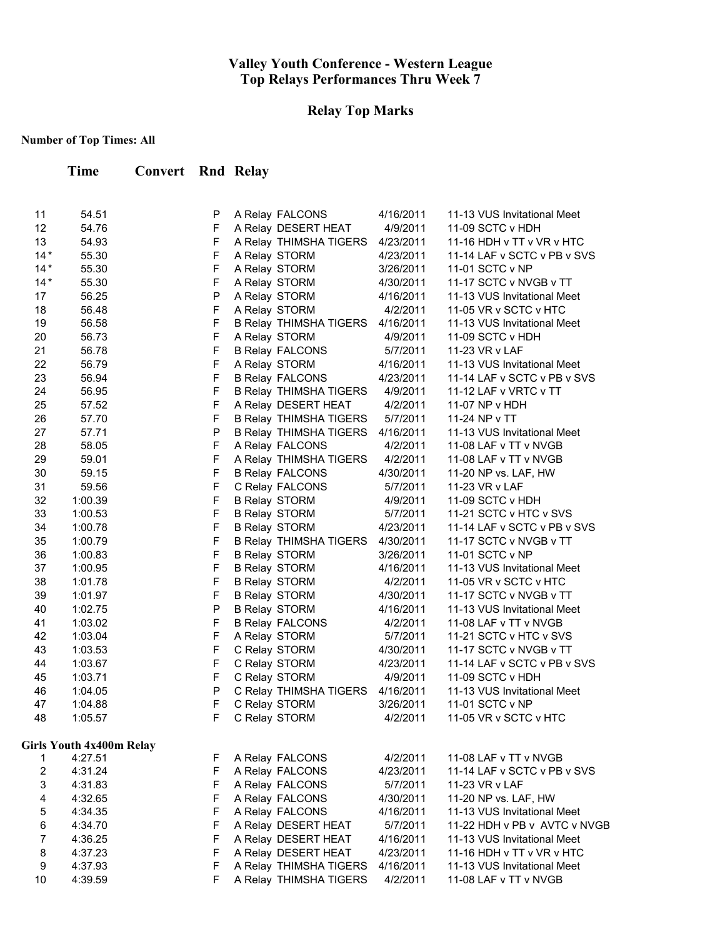# **Relay Top Marks**

| Time | <b>Convert Rnd Relay</b> |  |
|------|--------------------------|--|
|      |                          |  |

| 11    | 54.51                           | P            | A Relay FALCONS               | 4/16/2011 | 11-13 VUS Invitational Meet  |
|-------|---------------------------------|--------------|-------------------------------|-----------|------------------------------|
| 12    | 54.76                           | $\mathsf{F}$ | A Relay DESERT HEAT           | 4/9/2011  | 11-09 SCTC v HDH             |
| 13    | 54.93                           | F            | A Relay THIMSHA TIGERS        | 4/23/2011 | 11-16 HDH v TT v VR v HTC    |
| $14*$ | 55.30                           | F            | A Relay STORM                 | 4/23/2011 | 11-14 LAF v SCTC v PB v SVS  |
| $14*$ | 55.30                           | F            | A Relay STORM                 | 3/26/2011 | 11-01 SCTC v NP              |
| $14*$ | 55.30                           | F            | A Relay STORM                 | 4/30/2011 | 11-17 SCTC v NVGB v TT       |
| 17    | 56.25                           | P            | A Relay STORM                 | 4/16/2011 | 11-13 VUS Invitational Meet  |
| 18    | 56.48                           | F            | A Relay STORM                 | 4/2/2011  | 11-05 VR v SCTC v HTC        |
| 19    | 56.58                           | F            | <b>B Relay THIMSHA TIGERS</b> | 4/16/2011 | 11-13 VUS Invitational Meet  |
| 20    | 56.73                           | F            | A Relay STORM                 | 4/9/2011  | 11-09 SCTC v HDH             |
| 21    | 56.78                           | F            | <b>B Relay FALCONS</b>        | 5/7/2011  | 11-23 VR v LAF               |
| 22    | 56.79                           | F            | A Relay STORM                 | 4/16/2011 | 11-13 VUS Invitational Meet  |
| 23    | 56.94                           | F            | <b>B Relay FALCONS</b>        | 4/23/2011 | 11-14 LAF v SCTC v PB v SVS  |
| 24    | 56.95                           | F            | <b>B Relay THIMSHA TIGERS</b> | 4/9/2011  | 11-12 LAF v VRTC v TT        |
| 25    | 57.52                           | F            | A Relay DESERT HEAT           | 4/2/2011  | 11-07 NP v HDH               |
| 26    | 57.70                           | F            | <b>B Relay THIMSHA TIGERS</b> | 5/7/2011  | 11-24 NP v TT                |
| 27    | 57.71                           | $\sf P$      | <b>B Relay THIMSHA TIGERS</b> | 4/16/2011 | 11-13 VUS Invitational Meet  |
| 28    | 58.05                           | F            | A Relay FALCONS               | 4/2/2011  | 11-08 LAF v TT v NVGB        |
| 29    | 59.01                           | F            | A Relay THIMSHA TIGERS        | 4/2/2011  | 11-08 LAF v TT v NVGB        |
| 30    | 59.15                           | F            | <b>B Relay FALCONS</b>        | 4/30/2011 | 11-20 NP vs. LAF, HW         |
| 31    | 59.56                           | F            | C Relay FALCONS               | 5/7/2011  | 11-23 VR v LAF               |
| 32    | 1:00.39                         | F            | <b>B Relay STORM</b>          | 4/9/2011  | 11-09 SCTC v HDH             |
| 33    | 1:00.53                         | F            | <b>B Relay STORM</b>          | 5/7/2011  | 11-21 SCTC v HTC v SVS       |
| 34    | 1:00.78                         | F            | <b>B Relay STORM</b>          | 4/23/2011 | 11-14 LAF v SCTC v PB v SVS  |
| 35    | 1:00.79                         | F            | <b>B Relay THIMSHA TIGERS</b> | 4/30/2011 | 11-17 SCTC v NVGB v TT       |
| 36    | 1:00.83                         | $\mathsf F$  | <b>B Relay STORM</b>          | 3/26/2011 | 11-01 SCTC v NP              |
| 37    | 1:00.95                         | $\mathsf F$  | <b>B Relay STORM</b>          | 4/16/2011 | 11-13 VUS Invitational Meet  |
| 38    | 1:01.78                         | $\mathsf F$  | <b>B Relay STORM</b>          | 4/2/2011  | 11-05 VR v SCTC v HTC        |
| 39    | 1:01.97                         | $\mathsf F$  | <b>B Relay STORM</b>          | 4/30/2011 | 11-17 SCTC v NVGB v TT       |
| 40    | 1:02.75                         | $\mathsf{P}$ | <b>B Relay STORM</b>          | 4/16/2011 | 11-13 VUS Invitational Meet  |
| 41    | 1:03.02                         | $\mathsf F$  | <b>B Relay FALCONS</b>        | 4/2/2011  | 11-08 LAF v TT v NVGB        |
| 42    | 1:03.04                         | $\mathsf F$  | A Relay STORM                 | 5/7/2011  | 11-21 SCTC v HTC v SVS       |
| 43    | 1:03.53                         | $\mathsf F$  | C Relay STORM                 | 4/30/2011 | 11-17 SCTC v NVGB v TT       |
| 44    | 1:03.67                         | $\mathsf F$  | C Relay STORM                 | 4/23/2011 | 11-14 LAF v SCTC v PB v SVS  |
| 45    | 1:03.71                         | $\mathsf F$  | C Relay STORM                 | 4/9/2011  | 11-09 SCTC v HDH             |
| 46    | 1:04.05                         | $\mathsf{P}$ | C Relay THIMSHA TIGERS        | 4/16/2011 | 11-13 VUS Invitational Meet  |
| 47    | 1:04.88                         | $\mathsf F$  | C Relay STORM                 | 3/26/2011 | 11-01 SCTC v NP              |
| 48    | 1:05.57                         | F            | C Relay STORM                 | 4/2/2011  | 11-05 VR v SCTC v HTC        |
|       | <b>Girls Youth 4x400m Relay</b> |              |                               |           |                              |
| 1     | 4:27.51                         | F            | A Relay FALCONS               | 4/2/2011  | 11-08 LAF v TT v NVGB        |
| 2     | 4:31.24                         | $\mathsf F$  | A Relay FALCONS               | 4/23/2011 | 11-14 LAF v SCTC v PB v SVS  |
| 3     | 4:31.83                         | F            | A Relay FALCONS               | 5/7/2011  | 11-23 VR v LAF               |
| 4     | 4:32.65                         | F            | A Relay FALCONS               | 4/30/2011 | 11-20 NP vs. LAF, HW         |
| 5     | 4:34.35                         | F            | A Relay FALCONS               | 4/16/2011 | 11-13 VUS Invitational Meet  |
| 6     | 4:34.70                         | F            | A Relay DESERT HEAT           | 5/7/2011  | 11-22 HDH v PB v AVTC v NVGB |
| 7     | 4:36.25                         | F            | A Relay DESERT HEAT           | 4/16/2011 | 11-13 VUS Invitational Meet  |
| 8     | 4:37.23                         | $\mathsf F$  | A Relay DESERT HEAT           | 4/23/2011 | 11-16 HDH v TT v VR v HTC    |
| 9     | 4:37.93                         | F            | A Relay THIMSHA TIGERS        | 4/16/2011 | 11-13 VUS Invitational Meet  |
| 10    | 4:39.59                         | F            | A Relay THIMSHA TIGERS        | 4/2/2011  | 11-08 LAF v TT v NVGB        |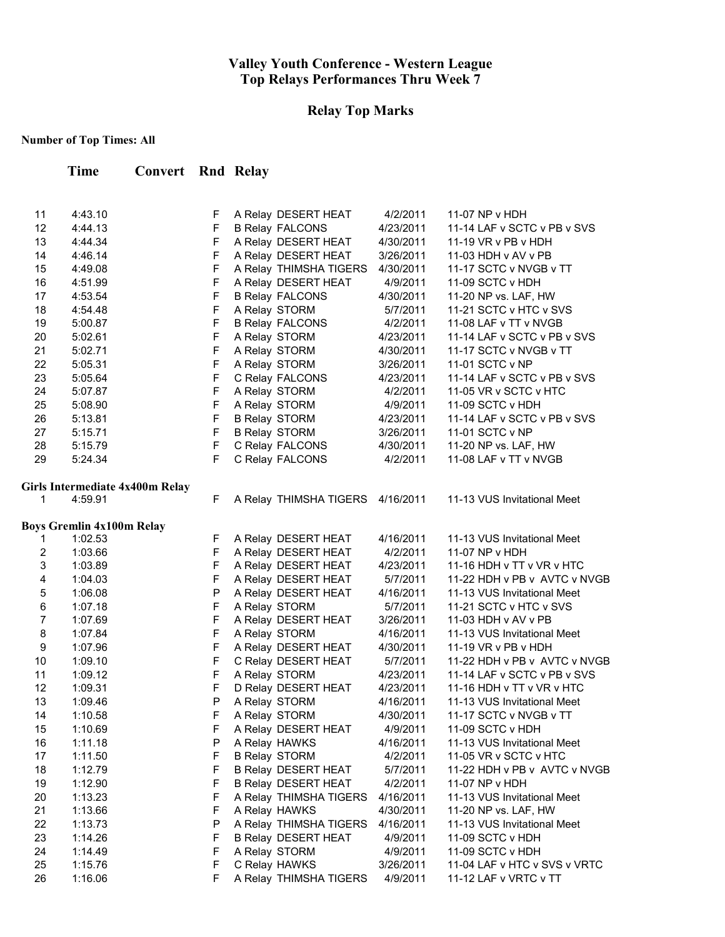### **Relay Top Marks**

## **Number of Top Times: All**

**Time Convert Rnd Relay**

| 11             | 4:43.10                                    | F           | A Relay DESERT HEAT        | 4/2/2011  | 11-07 NP v HDH               |
|----------------|--------------------------------------------|-------------|----------------------------|-----------|------------------------------|
| 12             | 4:44.13                                    | $\mathsf F$ | <b>B Relay FALCONS</b>     | 4/23/2011 | 11-14 LAF v SCTC v PB v SVS  |
| 13             | 4:44.34                                    | $\mathsf F$ | A Relay DESERT HEAT        | 4/30/2011 | 11-19 VR v PB v HDH          |
| 14             | 4:46.14                                    | $\mathsf F$ | A Relay DESERT HEAT        | 3/26/2011 | 11-03 HDH v AV v PB          |
| 15             | 4:49.08                                    | $\mathsf F$ | A Relay THIMSHA TIGERS     | 4/30/2011 | 11-17 SCTC v NVGB v TT       |
| 16             | 4:51.99                                    | $\mathsf F$ | A Relay DESERT HEAT        | 4/9/2011  | 11-09 SCTC v HDH             |
| 17             | 4:53.54                                    | F           | <b>B Relay FALCONS</b>     | 4/30/2011 | 11-20 NP vs. LAF, HW         |
| 18             | 4:54.48                                    | F           | A Relay STORM              | 5/7/2011  | 11-21 SCTC v HTC v SVS       |
| 19             | 5:00.87                                    | F           | <b>B Relay FALCONS</b>     | 4/2/2011  | 11-08 LAF v TT v NVGB        |
| 20             | 5:02.61                                    | $\mathsf F$ | A Relay STORM              | 4/23/2011 | 11-14 LAF v SCTC v PB v SVS  |
| 21             | 5:02.71                                    | $\mathsf F$ | A Relay STORM              | 4/30/2011 | 11-17 SCTC v NVGB v TT       |
| 22             | 5:05.31                                    | $\mathsf F$ | A Relay STORM              | 3/26/2011 | 11-01 SCTC v NP              |
| 23             | 5:05.64                                    | $\mathsf F$ | C Relay FALCONS            | 4/23/2011 | 11-14 LAF v SCTC v PB v SVS  |
| 24             | 5:07.87                                    | $\mathsf F$ | A Relay STORM              | 4/2/2011  | 11-05 VR v SCTC v HTC        |
| 25             | 5:08.90                                    | $\mathsf F$ | A Relay STORM              | 4/9/2011  | 11-09 SCTC v HDH             |
| 26             | 5:13.81                                    | $\mathsf F$ | <b>B Relay STORM</b>       | 4/23/2011 | 11-14 LAF v SCTC v PB v SVS  |
| 27             | 5:15.71                                    | $\mathsf F$ | <b>B Relay STORM</b>       | 3/26/2011 | 11-01 SCTC v NP              |
| 28             | 5:15.79                                    | $\mathsf F$ | C Relay FALCONS            | 4/30/2011 | 11-20 NP vs. LAF, HW         |
| 29             | 5:24.34                                    | F           | C Relay FALCONS            | 4/2/2011  | 11-08 LAF v TT v NVGB        |
|                |                                            |             |                            |           |                              |
| 1              | Girls Intermediate 4x400m Relay<br>4:59.91 | F           | A Relay THIMSHA TIGERS     |           | 11-13 VUS Invitational Meet  |
|                |                                            |             |                            | 4/16/2011 |                              |
|                | <b>Boys Gremlin 4x100m Relay</b>           |             |                            |           |                              |
| 1              | 1:02.53                                    | F           | A Relay DESERT HEAT        | 4/16/2011 | 11-13 VUS Invitational Meet  |
| 2              | 1:03.66                                    | F           | A Relay DESERT HEAT        | 4/2/2011  | 11-07 NP v HDH               |
| 3              | 1:03.89                                    | F           | A Relay DESERT HEAT        | 4/23/2011 | 11-16 HDH v TT v VR v HTC    |
| 4              | 1:04.03                                    | $\mathsf F$ | A Relay DESERT HEAT        | 5/7/2011  | 11-22 HDH v PB v AVTC v NVGB |
| 5              | 1:06.08                                    | P           | A Relay DESERT HEAT        | 4/16/2011 | 11-13 VUS Invitational Meet  |
| 6              | 1:07.18                                    | $\mathsf F$ | A Relay STORM              | 5/7/2011  | 11-21 SCTC v HTC v SVS       |
| $\overline{7}$ | 1:07.69                                    | $\mathsf F$ | A Relay DESERT HEAT        | 3/26/2011 | 11-03 HDH v AV v PB          |
| 8              | 1:07.84                                    | $\mathsf F$ | A Relay STORM              | 4/16/2011 | 11-13 VUS Invitational Meet  |
| 9              | 1:07.96                                    | $\mathsf F$ | A Relay DESERT HEAT        | 4/30/2011 | 11-19 VR v PB v HDH          |
| 10             | 1:09.10                                    | $\mathsf F$ | C Relay DESERT HEAT        | 5/7/2011  | 11-22 HDH v PB v AVTC v NVGB |
| 11             | 1:09.12                                    | $\mathsf F$ | A Relay STORM              | 4/23/2011 | 11-14 LAF v SCTC v PB v SVS  |
| 12             | 1:09.31                                    | $\mathsf F$ | D Relay DESERT HEAT        | 4/23/2011 | 11-16 HDH v TT v VR v HTC    |
| 13             | 1:09.46                                    | P           | A Relay STORM              | 4/16/2011 | 11-13 VUS Invitational Meet  |
| 14             | 1:10.58                                    | F.          | A Relay STORM              | 4/30/2011 | 11-17 SCTC v NVGB v TT       |
| 15             | 1:10.69                                    | F           | A Relay DESERT HEAT        | 4/9/2011  | 11-09 SCTC v HDH             |
| 16             | 1:11.18                                    | P           | A Relay HAWKS              | 4/16/2011 | 11-13 VUS Invitational Meet  |
| 17             | 1:11.50                                    | F           | <b>B Relay STORM</b>       | 4/2/2011  | 11-05 VR v SCTC v HTC        |
| 18             | 1:12.79                                    | F           | <b>B Relay DESERT HEAT</b> | 5/7/2011  | 11-22 HDH v PB v AVTC v NVGB |
| 19             | 1:12.90                                    | F           | <b>B Relay DESERT HEAT</b> | 4/2/2011  | 11-07 $NP$ v HDH             |
| 20             | 1:13.23                                    | F           | A Relay THIMSHA TIGERS     | 4/16/2011 | 11-13 VUS Invitational Meet  |
| 21             | 1:13.66                                    | $\mathsf F$ | A Relay HAWKS              | 4/30/2011 | 11-20 NP vs. LAF, HW         |
| 22             | 1:13.73                                    | P           | A Relay THIMSHA TIGERS     | 4/16/2011 | 11-13 VUS Invitational Meet  |
| 23             | 1:14.26                                    | F           | <b>B Relay DESERT HEAT</b> | 4/9/2011  | 11-09 SCTC v HDH             |
| 24             | 1:14.49                                    | $\mathsf F$ | A Relay STORM              | 4/9/2011  | 11-09 SCTC v HDH             |
| 25             | 1:15.76                                    | $\mathsf F$ | C Relay HAWKS              | 3/26/2011 | 11-04 LAF v HTC v SVS v VRTC |
| 26             | 1:16.06                                    | F           | A Relay THIMSHA TIGERS     | 4/9/2011  | 11-12 LAF v VRTC v TT        |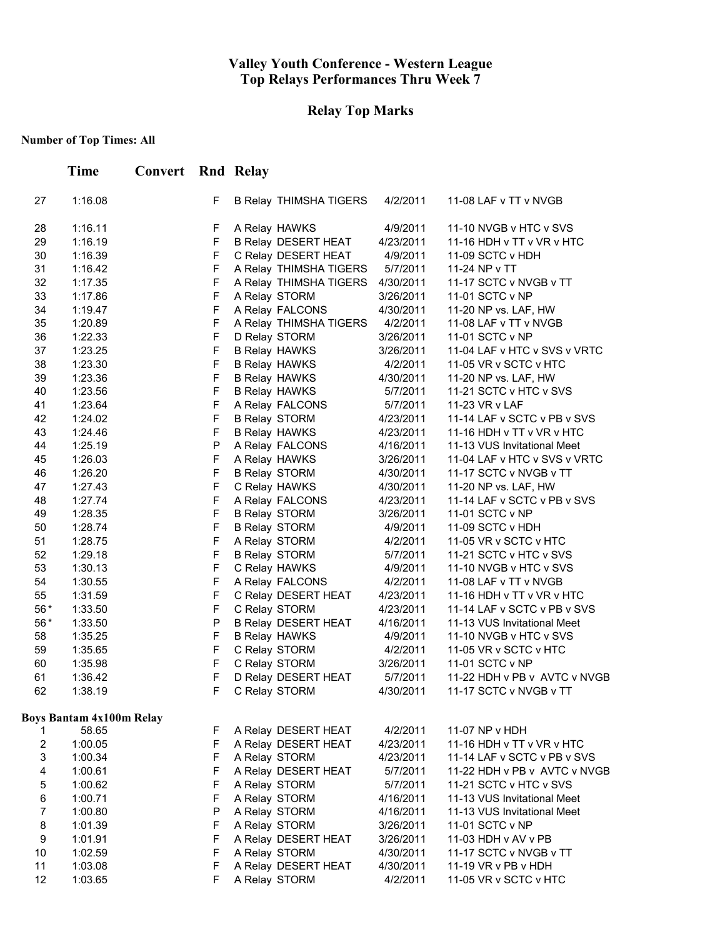## **Relay Top Marks**

|                  | <b>Time</b>                     | <b>Convert</b> Rnd Relay |                            |                                       |                        |                                                 |
|------------------|---------------------------------|--------------------------|----------------------------|---------------------------------------|------------------------|-------------------------------------------------|
| 27               | 1:16.08                         |                          | F                          | <b>B Relay THIMSHA TIGERS</b>         | 4/2/2011               | 11-08 LAF v TT v NVGB                           |
| 28               | 1:16.11                         |                          | F                          | A Relay HAWKS                         | 4/9/2011               | 11-10 NVGB v HTC v SVS                          |
| 29               | 1:16.19                         |                          | F                          | B Relay DESERT HEAT                   | 4/23/2011              | 11-16 HDH v TT v VR v HTC                       |
| 30               | 1:16.39                         |                          | F                          | C Relay DESERT HEAT                   | 4/9/2011               | 11-09 SCTC v HDH                                |
| 31               | 1:16.42                         |                          | F                          | A Relay THIMSHA TIGERS                | 5/7/2011               | 11-24 NP v TT                                   |
| 32               | 1:17.35                         |                          | $\mathsf F$                | A Relay THIMSHA TIGERS                | 4/30/2011              | 11-17 SCTC v NVGB v TT                          |
| 33               | 1:17.86                         |                          | $\mathsf F$                | A Relay STORM                         | 3/26/2011              | 11-01 SCTC v NP                                 |
| 34               | 1:19.47                         |                          | F                          | A Relay FALCONS                       | 4/30/2011              | 11-20 NP vs. LAF, HW                            |
| 35               | 1:20.89                         |                          | $\mathsf F$                | A Relay THIMSHA TIGERS                | 4/2/2011               | 11-08 LAF v TT v NVGB                           |
| 36               | 1:22.33                         |                          | F                          | D Relay STORM                         | 3/26/2011              | 11-01 SCTC v NP                                 |
| 37               | 1:23.25                         |                          | F                          | <b>B Relay HAWKS</b>                  | 3/26/2011              | 11-04 LAF v HTC v SVS v VRTC                    |
| 38               | 1:23.30                         |                          | $\mathsf F$                | <b>B Relay HAWKS</b>                  | 4/2/2011               | 11-05 VR v SCTC v HTC                           |
| 39               | 1:23.36                         |                          | $\mathsf F$                | <b>B Relay HAWKS</b>                  | 4/30/2011              | 11-20 NP vs. LAF, HW                            |
| 40               | 1:23.56                         |                          | $\mathsf F$                | <b>B Relay HAWKS</b>                  | 5/7/2011               | 11-21 SCTC v HTC v SVS                          |
| 41               | 1:23.64                         |                          | $\mathsf F$                | A Relay FALCONS                       | 5/7/2011               | 11-23 VR v LAF                                  |
| 42               | 1:24.02                         |                          | $\mathsf F$                | <b>B Relay STORM</b>                  | 4/23/2011              | 11-14 LAF v SCTC v PB v SVS                     |
| 43               | 1:24.46                         |                          | $\mathsf F$                | <b>B Relay HAWKS</b>                  | 4/23/2011              | 11-16 HDH v TT v VR v HTC                       |
| 44               | 1:25.19                         |                          | P                          | A Relay FALCONS                       | 4/16/2011              | 11-13 VUS Invitational Meet                     |
| 45               | 1:26.03                         |                          | $\mathsf F$                | A Relay HAWKS                         | 3/26/2011              | 11-04 LAF v HTC v SVS v VRTC                    |
| 46               | 1:26.20                         |                          | $\mathsf F$                | <b>B Relay STORM</b>                  | 4/30/2011              | 11-17 SCTC v NVGB v TT                          |
| 47               | 1:27.43                         |                          | $\mathsf F$                | C Relay HAWKS                         | 4/30/2011              | 11-20 NP vs. LAF, HW                            |
| 48               | 1:27.74                         |                          | $\mathsf F$                | A Relay FALCONS                       | 4/23/2011              | 11-14 LAF v SCTC v PB v SVS                     |
| 49               | 1:28.35                         |                          | $\mathsf F$                | <b>B Relay STORM</b>                  | 3/26/2011              | 11-01 SCTC v NP                                 |
| 50<br>51         | 1:28.74                         |                          | $\mathsf F$<br>$\mathsf F$ | <b>B Relay STORM</b>                  | 4/9/2011               | 11-09 SCTC v HDH                                |
| 52               | 1:28.75<br>1:29.18              |                          | $\mathsf F$                | A Relay STORM<br><b>B Relay STORM</b> | 4/2/2011<br>5/7/2011   | 11-05 VR v SCTC v HTC<br>11-21 SCTC v HTC v SVS |
| 53               | 1:30.13                         |                          | $\mathsf F$                |                                       | 4/9/2011               | 11-10 NVGB v HTC v SVS                          |
| 54               | 1:30.55                         |                          | F                          | C Relay HAWKS<br>A Relay FALCONS      | 4/2/2011               | 11-08 LAF v TT v NVGB                           |
| 55               | 1:31.59                         |                          | F                          | C Relay DESERT HEAT                   | 4/23/2011              | 11-16 HDH v TT v VR v HTC                       |
| 56*              | 1:33.50                         |                          | $\mathsf F$                | C Relay STORM                         | 4/23/2011              | 11-14 LAF v SCTC v PB v SVS                     |
| 56 *             | 1:33.50                         |                          | P                          | B Relay DESERT HEAT                   | 4/16/2011              | 11-13 VUS Invitational Meet                     |
| 58               | 1:35.25                         |                          | $\mathsf F$                | <b>B Relay HAWKS</b>                  | 4/9/2011               | 11-10 NVGB v HTC v SVS                          |
| 59               | 1:35.65                         |                          | $\mathsf F$                | C Relay STORM                         | 4/2/2011               | 11-05 VR v SCTC v HTC                           |
| 60               | 1:35.98                         |                          | F                          | C Relay STORM                         | 3/26/2011              | 11-01 SCTC v NP                                 |
| 61               | 1:36.42                         |                          | F                          | D Relay DESERT HEAT                   | 5/7/2011               | 11-22 HDH v PB v AVTC v NVGB                    |
| 62               | 1:38.19                         |                          | F                          | C Relay STORM                         | 4/30/2011              | 11-17 SCTC v NVGB v TT                          |
|                  | <b>Boys Bantam 4x100m Relay</b> |                          |                            |                                       |                        |                                                 |
| 1                | 58.65                           |                          | F                          | A Relay DESERT HEAT                   | 4/2/2011               | 11-07 NP v HDH                                  |
| $\boldsymbol{2}$ | 1:00.05                         |                          | F                          | A Relay DESERT HEAT                   | 4/23/2011              | 11-16 HDH v TT v VR v HTC                       |
| 3                | 1:00.34                         |                          | F                          | A Relay STORM                         | 4/23/2011              | 11-14 LAF v SCTC v PB v SVS                     |
| 4                | 1:00.61                         |                          | F                          | A Relay DESERT HEAT                   | 5/7/2011               | 11-22 HDH v PB v AVTC v NVGB                    |
| 5                | 1:00.62                         |                          | F                          | A Relay STORM                         | 5/7/2011               | 11-21 SCTC v HTC v SVS                          |
| 6                | 1:00.71                         |                          | F                          | A Relay STORM                         | 4/16/2011              | 11-13 VUS Invitational Meet                     |
| $\boldsymbol{7}$ | 1:00.80                         |                          | P                          | A Relay STORM                         | 4/16/2011              | 11-13 VUS Invitational Meet                     |
| 8                | 1:01.39                         |                          | $\mathsf F$<br>F           | A Relay STORM                         | 3/26/2011              | 11-01 SCTC v NP                                 |
| 9<br>10          | 1:01.91<br>1:02.59              |                          | F                          | A Relay DESERT HEAT<br>A Relay STORM  | 3/26/2011              | 11-03 HDH v AV v PB<br>11-17 SCTC v NVGB v TT   |
| 11               | 1:03.08                         |                          | F                          | A Relay DESERT HEAT                   | 4/30/2011<br>4/30/2011 | 11-19 VR v PB v HDH                             |
| 12               | 1:03.65                         |                          | F                          | A Relay STORM                         | 4/2/2011               | 11-05 VR v SCTC v HTC                           |
|                  |                                 |                          |                            |                                       |                        |                                                 |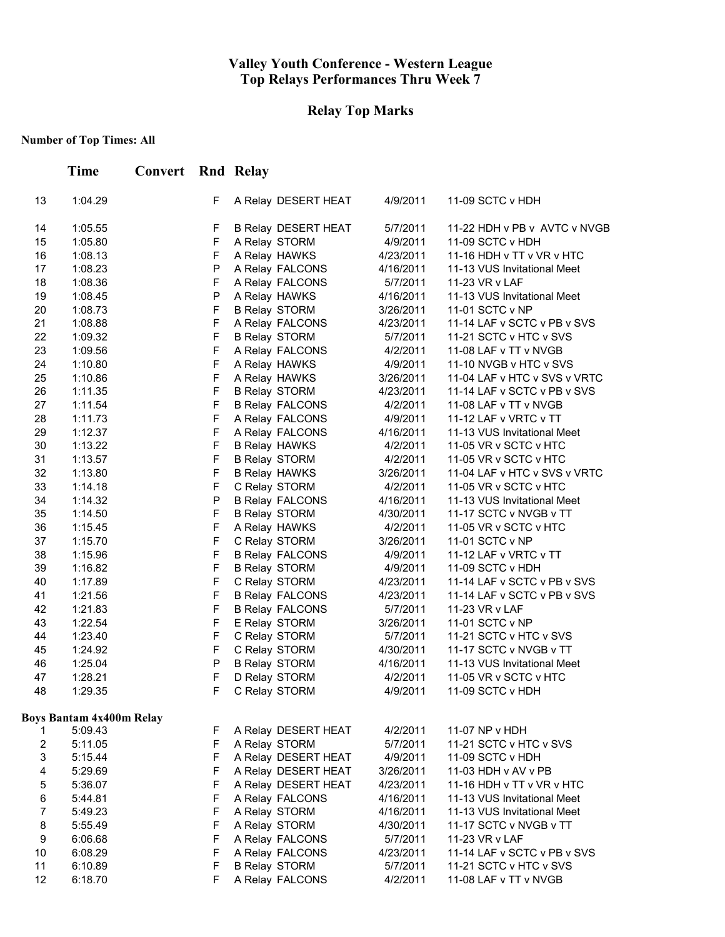# **Relay Top Marks**

|                           | Time                            | <b>Convert</b> Rnd Relay |        |                                                  |                        |                                                            |
|---------------------------|---------------------------------|--------------------------|--------|--------------------------------------------------|------------------------|------------------------------------------------------------|
| 13                        | 1:04.29                         |                          | F      | A Relay DESERT HEAT                              | 4/9/2011               | 11-09 SCTC v HDH                                           |
| 14                        | 1:05.55                         |                          | F      | <b>B Relay DESERT HEAT</b>                       | 5/7/2011               | 11-22 HDH v PB v AVTC v NVGB                               |
| 15                        | 1:05.80                         |                          | F      | A Relay STORM                                    | 4/9/2011               | 11-09 SCTC v HDH                                           |
| 16                        | 1:08.13                         |                          | F      | A Relay HAWKS                                    | 4/23/2011              | 11-16 HDH v TT v VR v HTC                                  |
| 17                        | 1:08.23                         |                          | P      | A Relay FALCONS                                  | 4/16/2011              | 11-13 VUS Invitational Meet                                |
| 18                        | 1:08.36                         |                          | F      | A Relay FALCONS                                  | 5/7/2011               | 11-23 VR v LAF                                             |
| 19                        | 1:08.45                         |                          | P      | A Relay HAWKS                                    | 4/16/2011              | 11-13 VUS Invitational Meet                                |
| 20                        | 1:08.73                         |                          | F      | <b>B Relay STORM</b>                             | 3/26/2011              | 11-01 SCTC v NP                                            |
| 21                        | 1:08.88                         |                          | F      | A Relay FALCONS                                  | 4/23/2011              | 11-14 LAF v SCTC v PB v SVS                                |
| 22                        | 1:09.32                         |                          | F      | <b>B Relay STORM</b>                             | 5/7/2011               | 11-21 SCTC v HTC v SVS                                     |
| 23                        | 1:09.56                         |                          | F      | A Relay FALCONS                                  | 4/2/2011               | 11-08 LAF v TT v NVGB                                      |
| 24                        | 1:10.80                         |                          | F      | A Relay HAWKS                                    | 4/9/2011               | 11-10 NVGB v HTC v SVS                                     |
| 25                        | 1:10.86                         |                          | F      | A Relay HAWKS                                    | 3/26/2011              | 11-04 LAF v HTC v SVS v VRTC                               |
| 26                        | 1:11.35                         |                          | F      | <b>B Relay STORM</b>                             | 4/23/2011              | 11-14 LAF v SCTC v PB v SVS                                |
| 27                        | 1:11.54                         |                          | F      | <b>B Relay FALCONS</b>                           | 4/2/2011               | 11-08 LAF v TT v NVGB                                      |
| 28                        | 1:11.73                         |                          | F      | A Relay FALCONS                                  | 4/9/2011               | 11-12 LAF v VRTC v TT                                      |
| 29                        | 1:12.37                         |                          | F      | A Relay FALCONS                                  | 4/16/2011              | 11-13 VUS Invitational Meet                                |
| 30                        | 1:13.22                         |                          | F      | <b>B Relay HAWKS</b>                             | 4/2/2011               | 11-05 VR v SCTC v HTC                                      |
| 31                        | 1:13.57                         |                          | F      | <b>B Relay STORM</b>                             | 4/2/2011               | 11-05 VR v SCTC v HTC                                      |
| 32                        | 1:13.80                         |                          | F      | <b>B Relay HAWKS</b>                             | 3/26/2011              | 11-04 LAF v HTC v SVS v VRTC                               |
| 33                        | 1:14.18                         |                          | F      | C Relay STORM                                    | 4/2/2011               | 11-05 VR v SCTC v HTC                                      |
| 34                        | 1:14.32                         |                          | P      | <b>B Relay FALCONS</b>                           | 4/16/2011              | 11-13 VUS Invitational Meet                                |
| 35                        | 1:14.50                         |                          | F      | <b>B Relay STORM</b>                             | 4/30/2011              | 11-17 SCTC v NVGB v TT                                     |
| 36                        | 1:15.45                         |                          | F      | A Relay HAWKS                                    | 4/2/2011               | 11-05 VR v SCTC v HTC                                      |
| 37                        | 1:15.70                         |                          | F<br>F | C Relay STORM                                    | 3/26/2011              | 11-01 SCTC v NP                                            |
| 38                        | 1:15.96                         |                          | F      | <b>B Relay FALCONS</b>                           | 4/9/2011               | 11-12 LAF v VRTC v TT                                      |
| 39<br>40                  | 1:16.82                         |                          | F      | <b>B Relay STORM</b>                             | 4/9/2011               | 11-09 SCTC v HDH                                           |
| 41                        | 1:17.89<br>1:21.56              |                          | F      | C Relay STORM                                    | 4/23/2011<br>4/23/2011 | 11-14 LAF v SCTC v PB v SVS<br>11-14 LAF v SCTC v PB v SVS |
| 42                        | 1:21.83                         |                          | F      | <b>B Relay FALCONS</b><br><b>B Relay FALCONS</b> | 5/7/2011               | 11-23 VR v LAF                                             |
| 43                        | 1:22.54                         |                          | F      | E Relay STORM                                    | 3/26/2011              | 11-01 SCTC v NP                                            |
| 44                        | 1:23.40                         |                          | F      | C Relay STORM                                    | 5/7/2011               | 11-21 SCTC v HTC v SVS                                     |
| 45                        | 1:24.92                         |                          | F      | C Relay STORM                                    | 4/30/2011              | 11-17 SCTC v NVGB v TT                                     |
| 46                        | 1:25.04                         |                          | P      | <b>B Relay STORM</b>                             | 4/16/2011              | 11-13 VUS Invitational Meet                                |
| 47                        | 1:28.21                         |                          | F      | D Relay STORM                                    | 4/2/2011               | 11-05 VR v SCTC v HTC                                      |
| 48                        | 1:29.35                         |                          | F.     | C Relay STORM                                    | 4/9/2011               | 11-09 SCTC v HDH                                           |
|                           | <b>Boys Bantam 4x400m Relay</b> |                          |        |                                                  |                        |                                                            |
| 1                         | 5:09.43                         |                          | F      | A Relay DESERT HEAT                              | 4/2/2011               | 11-07 NP v HDH                                             |
| $\boldsymbol{2}$          | 5:11.05                         |                          | F      | A Relay STORM                                    | 5/7/2011               | 11-21 SCTC v HTC v SVS                                     |
| $\ensuremath{\mathsf{3}}$ | 5:15.44                         |                          | F      | A Relay DESERT HEAT                              | 4/9/2011               | 11-09 SCTC v HDH                                           |
| 4                         | 5:29.69                         |                          | F      | A Relay DESERT HEAT                              | 3/26/2011              | 11-03 HDH v AV v PB                                        |
| 5                         | 5:36.07                         |                          | F      | A Relay DESERT HEAT                              | 4/23/2011              | 11-16 HDH v TT v VR v HTC                                  |
| 6                         | 5:44.81                         |                          | F      | A Relay FALCONS                                  | 4/16/2011              | 11-13 VUS Invitational Meet                                |
| $\boldsymbol{7}$          | 5:49.23                         |                          | F      | A Relay STORM                                    | 4/16/2011              | 11-13 VUS Invitational Meet                                |
| 8                         | 5:55.49                         |                          | F      | A Relay STORM                                    | 4/30/2011              | 11-17 SCTC v NVGB v TT                                     |
| 9                         | 6:06.68                         |                          | F      | A Relay FALCONS                                  | 5/7/2011               | 11-23 VR v LAF                                             |
| 10                        | 6:08.29                         |                          | F      | A Relay FALCONS                                  | 4/23/2011              | 11-14 LAF v SCTC v PB v SVS                                |
| 11                        | 6:10.89                         |                          | F      | <b>B Relay STORM</b>                             | 5/7/2011               | 11-21 SCTC v HTC v SVS                                     |
| 12                        | 6:18.70                         |                          | F      | A Relay FALCONS                                  | 4/2/2011               | 11-08 LAF v TT v NVGB                                      |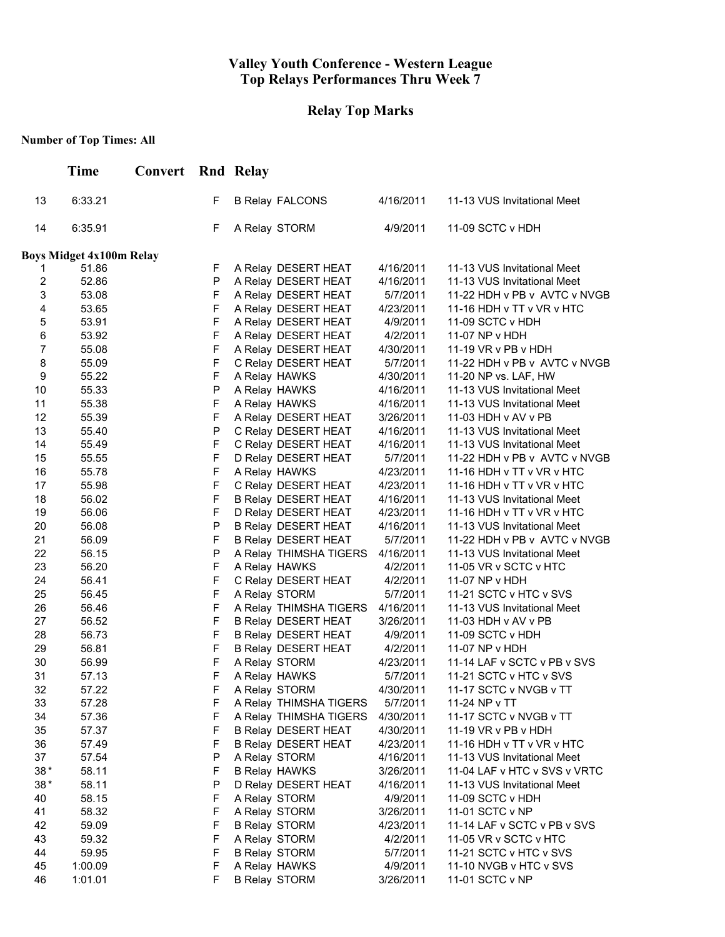# **Relay Top Marks**

|                | <b>Time</b>                     | <b>Convert</b> Rnd Relay |             |                                                          |                       |                                                             |
|----------------|---------------------------------|--------------------------|-------------|----------------------------------------------------------|-----------------------|-------------------------------------------------------------|
| 13             | 6:33.21                         |                          | F           | <b>B Relay FALCONS</b>                                   | 4/16/2011             | 11-13 VUS Invitational Meet                                 |
| 14             | 6:35.91                         |                          | F           | A Relay STORM                                            | 4/9/2011              | 11-09 SCTC v HDH                                            |
|                | <b>Boys Midget 4x100m Relay</b> |                          |             |                                                          |                       |                                                             |
| 1              | 51.86                           |                          | F           | A Relay DESERT HEAT                                      | 4/16/2011             | 11-13 VUS Invitational Meet                                 |
| $\overline{2}$ | 52.86                           |                          | P           | A Relay DESERT HEAT                                      | 4/16/2011             | 11-13 VUS Invitational Meet                                 |
| 3              | 53.08                           |                          | F           | A Relay DESERT HEAT                                      | 5/7/2011              | 11-22 HDH v PB v AVTC v NVGB                                |
| 4              | 53.65                           |                          | F           | A Relay DESERT HEAT                                      | 4/23/2011             | 11-16 HDH v TT v VR v HTC                                   |
| $\,$ 5 $\,$    | 53.91                           |                          | F           | A Relay DESERT HEAT                                      | 4/9/2011              | 11-09 SCTC v HDH                                            |
| $\,6$          | 53.92                           |                          | F           | A Relay DESERT HEAT                                      | 4/2/2011              | 11-07 NP v HDH                                              |
| $\overline{7}$ | 55.08                           |                          | F           | A Relay DESERT HEAT                                      | 4/30/2011             | 11-19 VR v PB v HDH                                         |
| 8              | 55.09                           |                          | F           | C Relay DESERT HEAT                                      | 5/7/2011              | 11-22 HDH v PB v AVTC v NVGB                                |
| 9              | 55.22                           |                          | F           | A Relay HAWKS                                            | 4/30/2011             | 11-20 NP vs. LAF, HW                                        |
| 10             | 55.33                           |                          | ${\sf P}$   | A Relay HAWKS                                            | 4/16/2011             | 11-13 VUS Invitational Meet                                 |
| 11             | 55.38                           |                          | F           | A Relay HAWKS                                            | 4/16/2011             | 11-13 VUS Invitational Meet                                 |
| 12             | 55.39                           |                          | F           | A Relay DESERT HEAT                                      | 3/26/2011             | 11-03 HDH v AV v PB                                         |
| 13             | 55.40                           |                          | P           | C Relay DESERT HEAT                                      | 4/16/2011             | 11-13 VUS Invitational Meet                                 |
| 14             | 55.49                           |                          | F           | C Relay DESERT HEAT                                      | 4/16/2011             | 11-13 VUS Invitational Meet                                 |
| 15             | 55.55                           |                          | F           | D Relay DESERT HEAT                                      | 5/7/2011              | 11-22 HDH v PB v AVTC v NVGB                                |
| 16             | 55.78                           |                          | $\mathsf F$ | A Relay HAWKS                                            | 4/23/2011             | 11-16 HDH v TT v VR v HTC                                   |
| 17             | 55.98                           |                          | F<br>F      | C Relay DESERT HEAT                                      | 4/23/2011             | 11-16 HDH v TT v VR v HTC                                   |
| 18             | 56.02                           |                          | F           | <b>B Relay DESERT HEAT</b>                               | 4/16/2011             | 11-13 VUS Invitational Meet                                 |
| 19             | 56.06                           |                          | $\sf P$     | D Relay DESERT HEAT                                      | 4/23/2011             | 11-16 HDH v TT v VR v HTC                                   |
| 20<br>21       | 56.08<br>56.09                  |                          | F           | <b>B Relay DESERT HEAT</b><br><b>B Relay DESERT HEAT</b> | 4/16/2011<br>5/7/2011 | 11-13 VUS Invitational Meet<br>11-22 HDH v PB v AVTC v NVGB |
| 22             | 56.15                           |                          | $\sf P$     | A Relay THIMSHA TIGERS                                   | 4/16/2011             | 11-13 VUS Invitational Meet                                 |
| 23             | 56.20                           |                          | F           | A Relay HAWKS                                            | 4/2/2011              | 11-05 VR v SCTC v HTC                                       |
| 24             | 56.41                           |                          | F           | C Relay DESERT HEAT                                      | 4/2/2011              | 11-07 NP v HDH                                              |
| 25             | 56.45                           |                          | F           | A Relay STORM                                            | 5/7/2011              | 11-21 SCTC v HTC v SVS                                      |
| 26             | 56.46                           |                          | F           | A Relay THIMSHA TIGERS                                   | 4/16/2011             | 11-13 VUS Invitational Meet                                 |
| 27             | 56.52                           |                          | F           | <b>B Relay DESERT HEAT</b>                               | 3/26/2011             | 11-03 HDH v AV v PB                                         |
| 28             | 56.73                           |                          | F           | B Relay DESERT HEAT                                      | 4/9/2011              | 11-09 SCTC v HDH                                            |
| 29             | 56.81                           |                          | F           | <b>B Relay DESERT HEAT</b>                               | 4/2/2011              | 11-07 NP v HDH                                              |
| 30             | 56.99                           |                          | F           | A Relay STORM                                            | 4/23/2011             | 11-14 LAF v SCTC v PB v SVS                                 |
| 31             | 57.13                           |                          | F           | A Relay HAWKS                                            | 5/7/2011              | 11-21 SCTC v HTC v SVS                                      |
| 32             | 57.22                           |                          | F.          | A Relay STORM                                            | 4/30/2011             | 11-17 SCTC v NVGB v TT                                      |
| 33             | 57.28                           |                          | F           | A Relay THIMSHA TIGERS                                   | 5/7/2011              | 11-24 NP v TT                                               |
| 34             | 57.36                           |                          | F           | A Relay THIMSHA TIGERS                                   | 4/30/2011             | 11-17 SCTC v NVGB v TT                                      |
| 35             | 57.37                           |                          | F           | <b>B Relay DESERT HEAT</b>                               | 4/30/2011             | 11-19 VR v PB v HDH                                         |
| 36             | 57.49                           |                          | F           | <b>B Relay DESERT HEAT</b>                               | 4/23/2011             | 11-16 HDH v TT v VR v HTC                                   |
| 37             | 57.54                           |                          | Ρ           | A Relay STORM                                            | 4/16/2011             | 11-13 VUS Invitational Meet                                 |
| $38*$          | 58.11                           |                          | F           | <b>B Relay HAWKS</b>                                     | 3/26/2011             | 11-04 LAF v HTC v SVS v VRTC                                |
| $38*$          | 58.11                           |                          | P           | D Relay DESERT HEAT                                      | 4/16/2011             | 11-13 VUS Invitational Meet                                 |
| 40             | 58.15                           |                          | F           | A Relay STORM                                            | 4/9/2011              | 11-09 SCTC v HDH                                            |
| 41             | 58.32                           |                          | F           | A Relay STORM                                            | 3/26/2011             | 11-01 SCTC v NP                                             |
| 42             | 59.09                           |                          | F           | <b>B Relay STORM</b>                                     | 4/23/2011             | 11-14 LAF v SCTC v PB v SVS                                 |
| 43             | 59.32                           |                          | F           | A Relay STORM                                            | 4/2/2011              | 11-05 VR v SCTC v HTC                                       |
| 44             | 59.95                           |                          | F           | <b>B Relay STORM</b>                                     | 5/7/2011              | 11-21 SCTC v HTC v SVS                                      |
| 45             | 1:00.09                         |                          | F           | A Relay HAWKS                                            | 4/9/2011              | 11-10 NVGB v HTC v SVS                                      |
| 46             | 1:01.01                         |                          | F           | <b>B Relay STORM</b>                                     | 3/26/2011             | 11-01 SCTC v NP                                             |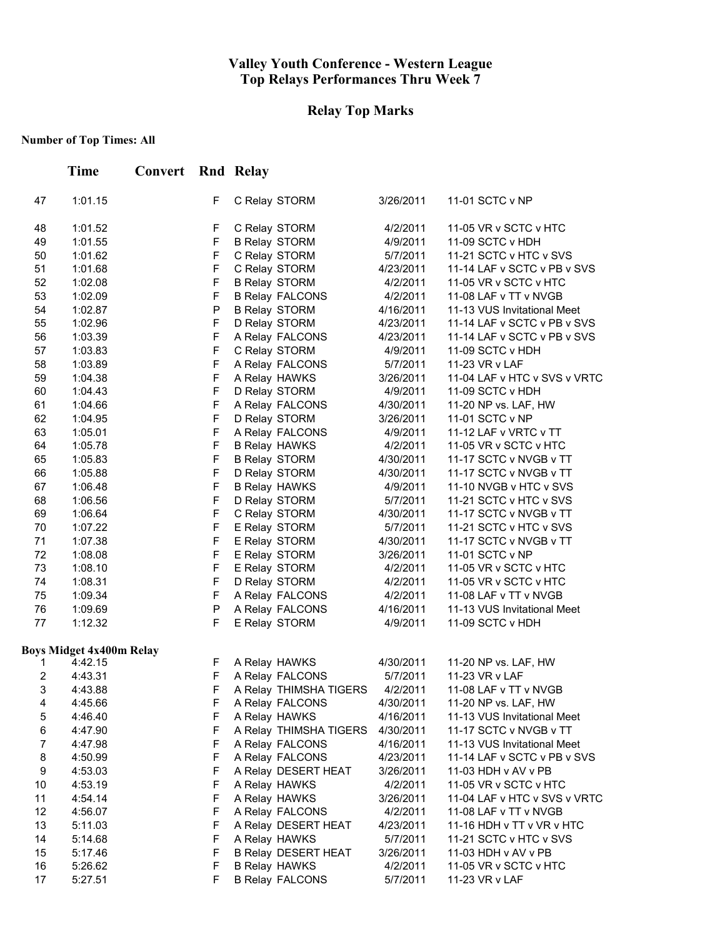# **Relay Top Marks**

|                | <b>Time</b>                     | Convert |             | Rnd Relay |                            |           |                              |
|----------------|---------------------------------|---------|-------------|-----------|----------------------------|-----------|------------------------------|
| 47             | 1:01.15                         |         | F           |           | C Relay STORM              | 3/26/2011 | 11-01 SCTC v NP              |
| 48             | 1:01.52                         |         | F           |           | C Relay STORM              | 4/2/2011  | 11-05 VR v SCTC v HTC        |
| 49             | 1:01.55                         |         | F           |           | <b>B Relay STORM</b>       | 4/9/2011  | 11-09 SCTC v HDH             |
| 50             | 1:01.62                         |         | F           |           | C Relay STORM              | 5/7/2011  | 11-21 SCTC v HTC v SVS       |
| 51             | 1:01.68                         |         | F           |           | C Relay STORM              | 4/23/2011 | 11-14 LAF v SCTC v PB v SVS  |
| 52             | 1:02.08                         |         | F           |           | <b>B Relay STORM</b>       | 4/2/2011  | 11-05 VR v SCTC v HTC        |
| 53             | 1:02.09                         |         | F           |           | <b>B Relay FALCONS</b>     | 4/2/2011  | 11-08 LAF v TT v NVGB        |
| 54             | 1:02.87                         |         | $\mathsf P$ |           | <b>B Relay STORM</b>       | 4/16/2011 | 11-13 VUS Invitational Meet  |
| 55             | 1:02.96                         |         | F           |           | D Relay STORM              | 4/23/2011 | 11-14 LAF v SCTC v PB v SVS  |
| 56             | 1:03.39                         |         | F           |           | A Relay FALCONS            | 4/23/2011 | 11-14 LAF v SCTC v PB v SVS  |
| 57             | 1:03.83                         |         | F           |           | C Relay STORM              | 4/9/2011  | 11-09 SCTC v HDH             |
| 58             | 1:03.89                         |         | F           |           | A Relay FALCONS            | 5/7/2011  | 11-23 VR v LAF               |
| 59             | 1:04.38                         |         | F           |           | A Relay HAWKS              | 3/26/2011 | 11-04 LAF v HTC v SVS v VRTC |
| 60             | 1:04.43                         |         | F           |           | D Relay STORM              | 4/9/2011  | 11-09 SCTC v HDH             |
| 61             | 1:04.66                         |         | F           |           | A Relay FALCONS            | 4/30/2011 | 11-20 NP vs. LAF, HW         |
| 62             | 1:04.95                         |         | F           |           | D Relay STORM              | 3/26/2011 | 11-01 SCTC v NP              |
| 63             | 1:05.01                         |         | F           |           | A Relay FALCONS            | 4/9/2011  | 11-12 LAF v VRTC v TT        |
| 64             | 1:05.78                         |         | F           |           | <b>B Relay HAWKS</b>       | 4/2/2011  | 11-05 VR v SCTC v HTC        |
| 65             | 1:05.83                         |         | F           |           | <b>B Relay STORM</b>       | 4/30/2011 | 11-17 SCTC v NVGB v TT       |
| 66             | 1:05.88                         |         | F           |           | D Relay STORM              | 4/30/2011 | 11-17 SCTC v NVGB v TT       |
| 67             | 1:06.48                         |         | F           |           | <b>B Relay HAWKS</b>       | 4/9/2011  | 11-10 NVGB v HTC v SVS       |
| 68             | 1:06.56                         |         | F           |           | D Relay STORM              | 5/7/2011  | 11-21 SCTC v HTC v SVS       |
| 69             | 1:06.64                         |         | F           |           | C Relay STORM              | 4/30/2011 | 11-17 SCTC v NVGB v TT       |
| 70             | 1:07.22                         |         | F           |           | E Relay STORM              | 5/7/2011  | 11-21 SCTC v HTC v SVS       |
| 71             | 1:07.38                         |         | F           |           | E Relay STORM              | 4/30/2011 | 11-17 SCTC v NVGB v TT       |
| 72             | 1:08.08                         |         | F           |           | E Relay STORM              | 3/26/2011 | 11-01 SCTC v NP              |
| 73             | 1:08.10                         |         | F           |           | E Relay STORM              | 4/2/2011  | 11-05 VR v SCTC v HTC        |
| 74             | 1:08.31                         |         | F           |           | D Relay STORM              | 4/2/2011  | 11-05 VR v SCTC v HTC        |
| 75             | 1:09.34                         |         | F           |           | A Relay FALCONS            | 4/2/2011  | 11-08 LAF v TT v NVGB        |
| 76             | 1:09.69                         |         | P           |           | A Relay FALCONS            | 4/16/2011 | 11-13 VUS Invitational Meet  |
| 77             | 1:12.32                         |         | F           |           | E Relay STORM              | 4/9/2011  | 11-09 SCTC v HDH             |
|                | <b>Boys Midget 4x400m Relay</b> |         |             |           |                            |           |                              |
| 1              | 4:42.15                         |         | F           |           | A Relay HAWKS              | 4/30/2011 | 11-20 NP vs. LAF, HW         |
| 2              | 4:43.31                         |         | F           |           | A Relay FALCONS            | 5/7/2011  | 11-23 VR v LAF               |
| 3              | 4:43.88                         |         | F           |           | A Relay THIMSHA TIGERS     | 4/2/2011  | 11-08 LAF v TT v NVGB        |
| 4              | 4:45.66                         |         | F           |           | A Relay FALCONS            | 4/30/2011 | 11-20 NP vs. LAF, HW         |
| 5              | 4:46.40                         |         | F           |           | A Relay HAWKS              | 4/16/2011 | 11-13 VUS Invitational Meet  |
| 6              | 4:47.90                         |         | F           |           | A Relay THIMSHA TIGERS     | 4/30/2011 | 11-17 SCTC v NVGB v TT       |
| $\overline{7}$ | 4:47.98                         |         | F           |           | A Relay FALCONS            | 4/16/2011 | 11-13 VUS Invitational Meet  |
| 8              | 4:50.99                         |         | F           |           | A Relay FALCONS            | 4/23/2011 | 11-14 LAF v SCTC v PB v SVS  |
| 9              | 4:53.03                         |         | F           |           | A Relay DESERT HEAT        | 3/26/2011 | 11-03 HDH v AV v PB          |
| 10             | 4:53.19                         |         | F           |           | A Relay HAWKS              | 4/2/2011  | 11-05 VR v SCTC v HTC        |
| 11             | 4:54.14                         |         | F           |           | A Relay HAWKS              | 3/26/2011 | 11-04 LAF v HTC v SVS v VRTC |
| 12             | 4:56.07                         |         | F           |           | A Relay FALCONS            | 4/2/2011  | 11-08 LAF v TT v NVGB        |
| 13             | 5:11.03                         |         | F           |           | A Relay DESERT HEAT        | 4/23/2011 | 11-16 HDH v TT v VR v HTC    |
| 14             | 5:14.68                         |         | F           |           | A Relay HAWKS              | 5/7/2011  | 11-21 SCTC v HTC v SVS       |
| 15             | 5:17.46                         |         | F           |           | <b>B Relay DESERT HEAT</b> | 3/26/2011 | 11-03 HDH v AV v PB          |
| 16             | 5:26.62                         |         | F           |           | <b>B Relay HAWKS</b>       | 4/2/2011  | 11-05 VR v SCTC v HTC        |
| 17             | 5:27.51                         |         | F           |           | <b>B Relay FALCONS</b>     | 5/7/2011  | 11-23 VR v LAF               |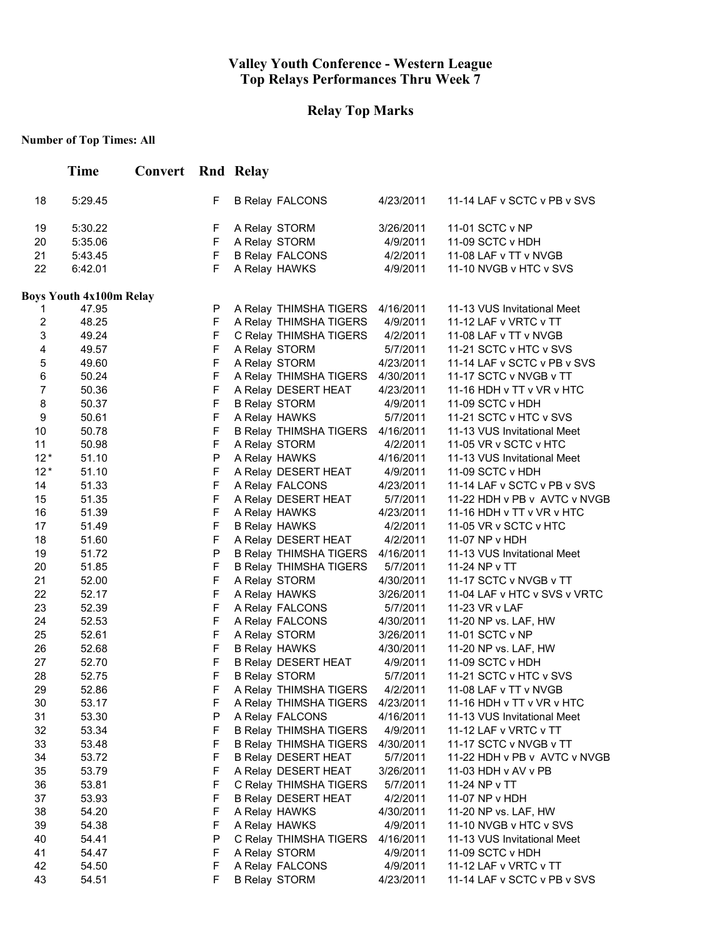# **Relay Top Marks**

|                | <b>Time</b>                    | <b>Convert</b> Rnd Relay |        |                                        |                       |                                                 |
|----------------|--------------------------------|--------------------------|--------|----------------------------------------|-----------------------|-------------------------------------------------|
| 18             | 5:29.45                        |                          | F      | <b>B Relay FALCONS</b>                 | 4/23/2011             | 11-14 LAF v SCTC v PB v SVS                     |
| 19             | 5:30.22                        |                          | F      | A Relay STORM                          | 3/26/2011             | 11-01 SCTC v NP                                 |
| 20             | 5:35.06                        |                          | F      | A Relay STORM                          | 4/9/2011              | 11-09 SCTC v HDH                                |
| 21             | 5:43.45                        |                          | F      | <b>B Relay FALCONS</b>                 | 4/2/2011              | 11-08 LAF v TT v NVGB                           |
| 22             | 6:42.01                        |                          | F      | A Relay HAWKS                          | 4/9/2011              | 11-10 NVGB v HTC v SVS                          |
|                | <b>Boys Youth 4x100m Relay</b> |                          |        |                                        |                       |                                                 |
| 1              | 47.95                          |                          | P      | A Relay THIMSHA TIGERS 4/16/2011       |                       | 11-13 VUS Invitational Meet                     |
| $\overline{c}$ | 48.25                          |                          | F      | A Relay THIMSHA TIGERS                 | 4/9/2011              | 11-12 LAF v VRTC v TT                           |
| 3              | 49.24                          |                          | F      | C Relay THIMSHA TIGERS                 | 4/2/2011              | 11-08 LAF v TT v NVGB                           |
| 4              | 49.57                          |                          | F      | A Relay STORM                          | 5/7/2011              | 11-21 SCTC v HTC v SVS                          |
| 5              | 49.60                          |                          | F      | A Relay STORM                          | 4/23/2011             | 11-14 LAF v SCTC v PB v SVS                     |
| 6              | 50.24                          |                          | F      | A Relay THIMSHA TIGERS 4/30/2011       |                       | 11-17 SCTC v NVGB v TT                          |
| $\overline{7}$ | 50.36                          |                          | F      | A Relay DESERT HEAT                    | 4/23/2011             | 11-16 HDH v TT v VR v HTC                       |
| 8              | 50.37                          |                          | F      | <b>B Relay STORM</b>                   | 4/9/2011              | 11-09 SCTC v HDH                                |
| 9              | 50.61                          |                          | F      | A Relay HAWKS                          | 5/7/2011              | 11-21 SCTC v HTC v SVS                          |
| 10             | 50.78                          |                          | F      | B Relay THIMSHA TIGERS 4/16/2011       |                       | 11-13 VUS Invitational Meet                     |
| 11<br>$12*$    | 50.98                          |                          | F<br>P | A Relay STORM                          | 4/2/2011              | 11-05 VR v SCTC v HTC                           |
| $12*$          | 51.10<br>51.10                 |                          | F      | A Relay HAWKS                          | 4/16/2011<br>4/9/2011 | 11-13 VUS Invitational Meet<br>11-09 SCTC v HDH |
| 14             | 51.33                          |                          | F      | A Relay DESERT HEAT                    | 4/23/2011             | 11-14 LAF v SCTC v PB v SVS                     |
| 15             | 51.35                          |                          | F      | A Relay FALCONS<br>A Relay DESERT HEAT | 5/7/2011              | 11-22 HDH v PB v AVTC v NVGB                    |
| 16             | 51.39                          |                          | F      | A Relay HAWKS                          | 4/23/2011             | 11-16 HDH v TT v VR v HTC                       |
| 17             | 51.49                          |                          | F      | <b>B Relay HAWKS</b>                   | 4/2/2011              | 11-05 VR v SCTC v HTC                           |
| 18             | 51.60                          |                          | F      | A Relay DESERT HEAT                    | 4/2/2011              | 11-07 NP v HDH                                  |
| 19             | 51.72                          |                          | P      | <b>B Relay THIMSHA TIGERS</b>          | 4/16/2011             | 11-13 VUS Invitational Meet                     |
| 20             | 51.85                          |                          | F      | <b>B Relay THIMSHA TIGERS</b>          | 5/7/2011              | 11-24 NP v TT                                   |
| 21             | 52.00                          |                          | F      | A Relay STORM                          | 4/30/2011             | 11-17 SCTC v NVGB v TT                          |
| 22             | 52.17                          |                          | F      | A Relay HAWKS                          | 3/26/2011             | 11-04 LAF v HTC v SVS v VRTC                    |
| 23             | 52.39                          |                          | F      | A Relay FALCONS                        | 5/7/2011              | 11-23 VR v LAF                                  |
| 24             | 52.53                          |                          | F      | A Relay FALCONS                        | 4/30/2011             | 11-20 NP vs. LAF, HW                            |
| 25             | 52.61                          |                          | F      | A Relay STORM                          | 3/26/2011             | 11-01 SCTC v NP                                 |
| 26             | 52.68                          |                          | F      | <b>B Relay HAWKS</b>                   | 4/30/2011             | 11-20 NP vs. LAF, HW                            |
| 27             | 52.70                          |                          | F      | <b>B Relay DESERT HEAT</b>             | 4/9/2011              | 11-09 SCTC v HDH                                |
| 28             | 52.75                          |                          | F      | <b>B Relay STORM</b>                   | 5/7/2011              | 11-21 SCTC v HTC v SVS                          |
| 29             | 52.86                          |                          | F      | A Relay THIMSHA TIGERS                 | 4/2/2011              | 11-08 LAF v TT v NVGB                           |
| 30             | 53.17                          |                          | F      | A Relay THIMSHA TIGERS                 | 4/23/2011             | 11-16 HDH v TT v VR v HTC                       |
| 31             | 53.30                          |                          | P      | A Relay FALCONS                        | 4/16/2011             | 11-13 VUS Invitational Meet                     |
| 32             | 53.34                          |                          | F      | <b>B Relay THIMSHA TIGERS</b>          | 4/9/2011              | 11-12 LAF v VRTC v TT                           |
| 33             | 53.48                          |                          | F      | <b>B Relay THIMSHA TIGERS</b>          | 4/30/2011             | 11-17 SCTC v NVGB v TT                          |
| 34             | 53.72                          |                          | F      | <b>B Relay DESERT HEAT</b>             | 5/7/2011              | 11-22 HDH v PB v AVTC v NVGB                    |
| 35             | 53.79                          |                          | F      | A Relay DESERT HEAT                    | 3/26/2011             | 11-03 HDH v AV v PB                             |
| 36             | 53.81                          |                          | F      | C Relay THIMSHA TIGERS                 | 5/7/2011              | 11-24 NP v TT                                   |
| 37             | 53.93                          |                          | F      | <b>B Relay DESERT HEAT</b>             | 4/2/2011              | 11-07 NP v HDH                                  |
| 38             | 54.20                          |                          | F      | A Relay HAWKS                          | 4/30/2011             | 11-20 NP vs. LAF, HW                            |
| 39             | 54.38                          |                          | F      | A Relay HAWKS                          | 4/9/2011              | 11-10 NVGB v HTC v SVS                          |
| 40             | 54.41                          |                          | P      | C Relay THIMSHA TIGERS                 | 4/16/2011             | 11-13 VUS Invitational Meet                     |
| 41             | 54.47                          |                          | F      | A Relay STORM                          | 4/9/2011              | 11-09 SCTC v HDH                                |
| 42             | 54.50                          |                          | F      | A Relay FALCONS                        | 4/9/2011              | 11-12 LAF v VRTC v TT                           |
| 43             | 54.51                          |                          | F      | <b>B Relay STORM</b>                   | 4/23/2011             | 11-14 LAF v SCTC v PB v SVS                     |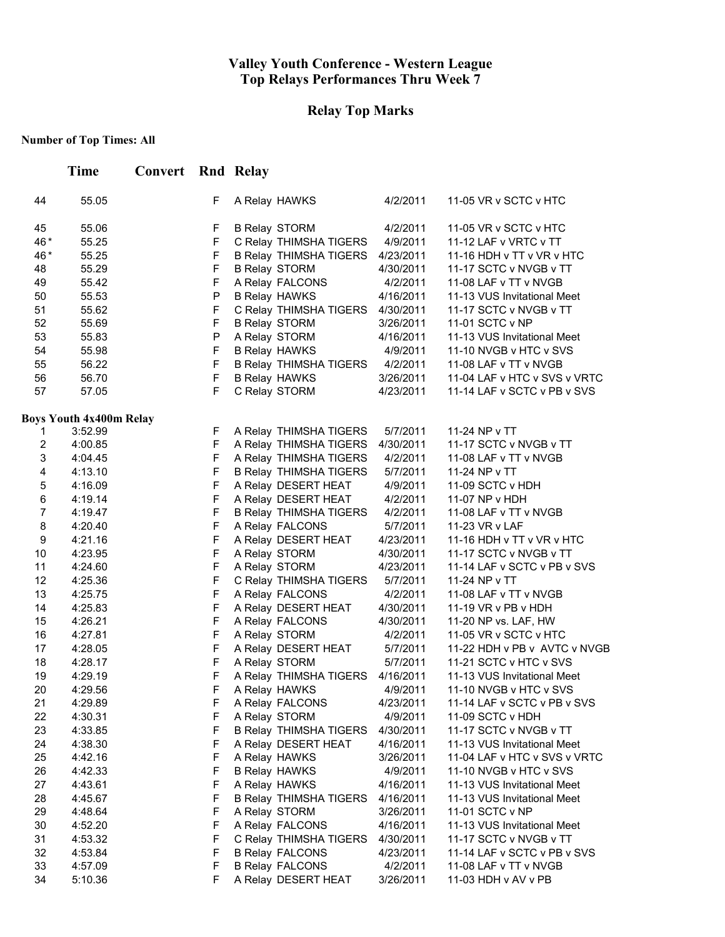# **Relay Top Marks**

|                     | <b>Time</b>                    | <b>Convert</b> Rnd Relay |                            |                                        |                       |                                             |
|---------------------|--------------------------------|--------------------------|----------------------------|----------------------------------------|-----------------------|---------------------------------------------|
| 44                  | 55.05                          |                          | F                          | A Relay HAWKS                          | 4/2/2011              | 11-05 VR v SCTC v HTC                       |
| 45                  | 55.06                          |                          | F                          | <b>B Relay STORM</b>                   | 4/2/2011              | 11-05 VR v SCTC v HTC                       |
| 46*                 | 55.25                          |                          | $\mathsf F$                | C Relay THIMSHA TIGERS                 | 4/9/2011              | 11-12 LAF v VRTC v TT                       |
| 46*                 | 55.25                          |                          | $\mathsf F$                | B Relay THIMSHA TIGERS                 | 4/23/2011             | 11-16 HDH v TT v VR v HTC                   |
| 48                  | 55.29                          |                          | $\mathsf F$                | <b>B Relay STORM</b>                   | 4/30/2011             | 11-17 SCTC v NVGB v TT                      |
| 49                  | 55.42                          |                          | $\mathsf F$                | A Relay FALCONS                        | 4/2/2011              | 11-08 LAF v TT v NVGB                       |
| 50                  | 55.53                          |                          | ${\sf P}$                  | <b>B Relay HAWKS</b>                   | 4/16/2011             | 11-13 VUS Invitational Meet                 |
| 51                  | 55.62                          |                          | F                          | C Relay THIMSHA TIGERS                 | 4/30/2011             | 11-17 SCTC v NVGB v TT                      |
| 52                  | 55.69                          |                          | $\mathsf F$                | <b>B Relay STORM</b>                   | 3/26/2011             | 11-01 SCTC v NP                             |
| 53                  | 55.83                          |                          | P                          | A Relay STORM                          | 4/16/2011             | 11-13 VUS Invitational Meet                 |
| 54                  | 55.98                          |                          | $\mathsf F$                | <b>B Relay HAWKS</b>                   | 4/9/2011              | 11-10 NVGB v HTC v SVS                      |
| 55                  | 56.22                          |                          | $\mathsf F$                | B Relay THIMSHA TIGERS                 | 4/2/2011              | 11-08 LAF v TT v NVGB                       |
| 56                  | 56.70                          |                          | $\mathsf F$                | <b>B Relay HAWKS</b>                   | 3/26/2011             | 11-04 LAF v HTC v SVS v VRTC                |
| 57                  | 57.05                          |                          | $\mathsf F$                | C Relay STORM                          | 4/23/2011             | 11-14 LAF v SCTC v PB v SVS                 |
|                     | <b>Boys Youth 4x400m Relay</b> |                          |                            |                                        |                       |                                             |
| 1                   | 3:52.99                        |                          | F                          | A Relay THIMSHA TIGERS                 | 5/7/2011              | 11-24 NP v TT                               |
| 2                   | 4:00.85                        |                          | F                          | A Relay THIMSHA TIGERS                 | 4/30/2011             | 11-17 SCTC v NVGB v TT                      |
| 3                   | 4:04.45                        |                          | F                          | A Relay THIMSHA TIGERS                 | 4/2/2011              | 11-08 LAF v TT v NVGB                       |
| 4                   | 4:13.10                        |                          | $\mathsf F$                | <b>B Relay THIMSHA TIGERS</b>          | 5/7/2011              | 11-24 NP v TT                               |
| 5                   | 4:16.09                        |                          | $\mathsf F$<br>$\mathsf F$ | A Relay DESERT HEAT                    | 4/9/2011              | 11-09 SCTC v HDH                            |
| 6<br>$\overline{7}$ | 4:19.14                        |                          | $\mathsf F$                | A Relay DESERT HEAT                    | 4/2/2011              | 11-07 NP v HDH                              |
|                     | 4:19.47                        |                          | $\mathsf F$                | <b>B Relay THIMSHA TIGERS</b>          | 4/2/2011              | 11-08 LAF v TT v NVGB                       |
| 8<br>9              | 4:20.40<br>4:21.16             |                          | $\mathsf F$                | A Relay FALCONS<br>A Relay DESERT HEAT | 5/7/2011<br>4/23/2011 | 11-23 VR v LAF<br>11-16 HDH v TT v VR v HTC |
| 10                  | 4:23.95                        |                          | $\mathsf F$                | A Relay STORM                          | 4/30/2011             | 11-17 SCTC v NVGB v TT                      |
| 11                  | 4:24.60                        |                          | $\mathsf F$                | A Relay STORM                          | 4/23/2011             | 11-14 LAF v SCTC v PB v SVS                 |
| 12                  | 4:25.36                        |                          | $\mathsf F$                | C Relay THIMSHA TIGERS                 | 5/7/2011              | 11-24 NP v TT                               |
| 13                  | 4:25.75                        |                          | $\mathsf F$                | A Relay FALCONS                        | 4/2/2011              | 11-08 LAF v TT v NVGB                       |
| 14                  | 4:25.83                        |                          | $\mathsf F$                | A Relay DESERT HEAT                    | 4/30/2011             | 11-19 VR v PB v HDH                         |
| 15                  | 4:26.21                        |                          | F                          | A Relay FALCONS                        | 4/30/2011             | 11-20 NP vs. LAF, HW                        |
| 16                  | 4:27.81                        |                          | $\mathsf F$                | A Relay STORM                          | 4/2/2011              | 11-05 VR v SCTC v HTC                       |
| 17                  | 4:28.05                        |                          | $\mathsf F$                | A Relay DESERT HEAT                    | 5/7/2011              | 11-22 HDH v PB v AVTC v NVGB                |
| 18                  | 4:28.17                        |                          | $\mathsf F$                | A Relay STORM                          | 5/7/2011              | 11-21 SCTC v HTC v SVS                      |
| 19                  | 4:29.19                        |                          | F                          | A Relay THIMSHA TIGERS                 | 4/16/2011             | 11-13 VUS Invitational Meet                 |
| 20                  | 4:29.56                        |                          | F                          | A Relay HAWKS                          | 4/9/2011              | 11-10 NVGB v HTC v SVS                      |
| 21                  | 4:29.89                        |                          | F                          | A Relay FALCONS                        | 4/23/2011             | 11-14 LAF v SCTC v PB v SVS                 |
| 22                  | 4:30.31                        |                          | F                          | A Relay STORM                          | 4/9/2011              | 11-09 SCTC v HDH                            |
| 23                  | 4:33.85                        |                          | $\mathsf F$                | <b>B Relay THIMSHA TIGERS</b>          | 4/30/2011             | 11-17 SCTC v NVGB v TT                      |
| 24                  | 4:38.30                        |                          | F                          | A Relay DESERT HEAT                    | 4/16/2011             | 11-13 VUS Invitational Meet                 |
| 25                  | 4:42.16                        |                          | F                          | A Relay HAWKS                          | 3/26/2011             | 11-04 LAF v HTC v SVS v VRTC                |
| 26                  | 4:42.33                        |                          | F                          | <b>B Relay HAWKS</b>                   | 4/9/2011              | 11-10 NVGB v HTC v SVS                      |
| 27                  | 4:43.61                        |                          | F                          | A Relay HAWKS                          | 4/16/2011             | 11-13 VUS Invitational Meet                 |
| 28                  | 4:45.67                        |                          | $\mathsf F$                | <b>B Relay THIMSHA TIGERS</b>          | 4/16/2011             | 11-13 VUS Invitational Meet                 |
| 29                  | 4:48.64                        |                          | $\mathsf F$                | A Relay STORM                          | 3/26/2011             | 11-01 SCTC v NP                             |
| 30                  | 4:52.20                        |                          | $\mathsf F$                | A Relay FALCONS                        | 4/16/2011             | 11-13 VUS Invitational Meet                 |
| 31                  | 4:53.32                        |                          | $\mathsf F$                | C Relay THIMSHA TIGERS                 | 4/30/2011             | 11-17 SCTC v NVGB v TT                      |
| 32                  | 4:53.84                        |                          | $\mathsf F$                | <b>B Relay FALCONS</b>                 | 4/23/2011             | 11-14 LAF v SCTC v PB v SVS                 |
| 33                  | 4:57.09                        |                          | $\mathsf F$                | <b>B Relay FALCONS</b>                 | 4/2/2011              | 11-08 LAF v TT v NVGB                       |
| 34                  | 5:10.36                        |                          | F                          | A Relay DESERT HEAT                    | 3/26/2011             | 11-03 HDH v AV v PB                         |